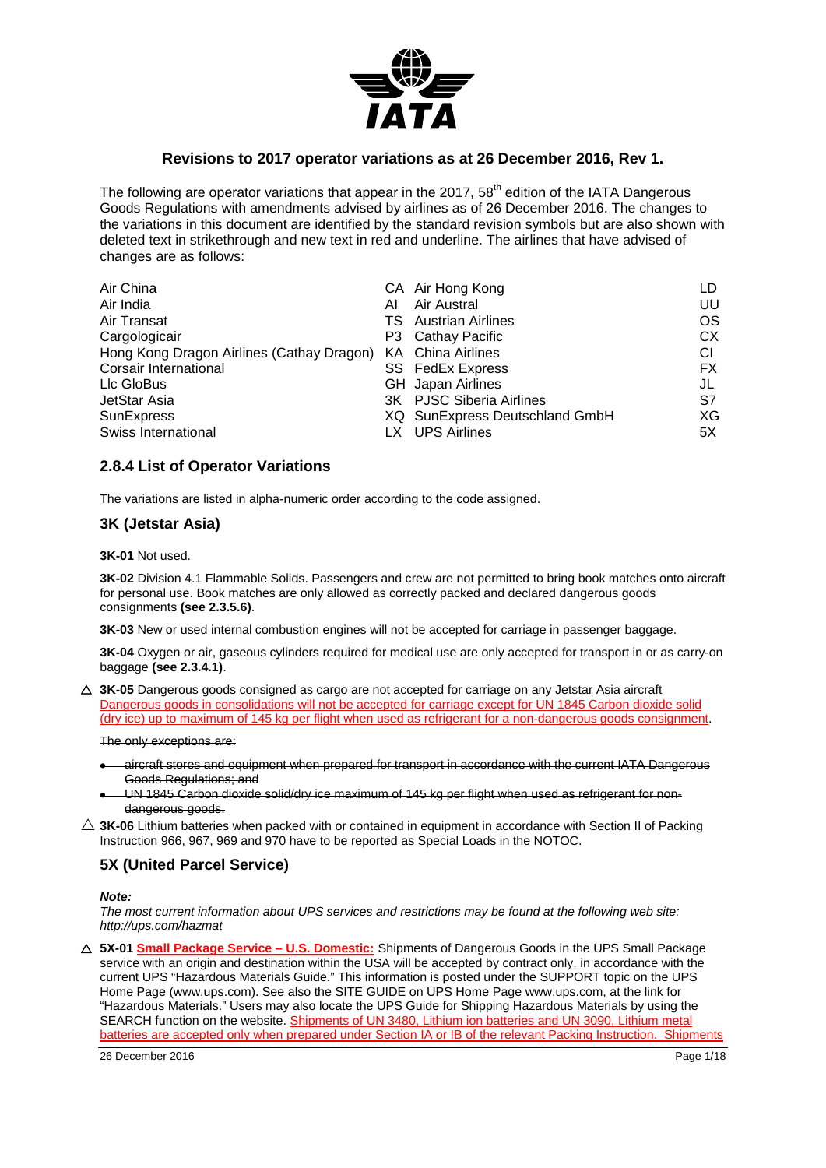

## **Revisions to 2017 operator variations as at 26 December 2016, Rev 1.**

The following are operator variations that appear in the 2017, 58<sup>th</sup> edition of the IATA Dangerous Goods Regulations with amendments advised by airlines as of 26 December 2016. The changes to the variations in this document are identified by the standard revision symbols but are also shown with deleted text in strikethrough and new text in red and underline. The airlines that have advised of changes are as follows:

| Air China                                                   |    | CA Air Hong Kong               | LD  |
|-------------------------------------------------------------|----|--------------------------------|-----|
| Air India                                                   | ΑI | Air Austral                    | UU  |
| Air Transat                                                 |    | <b>TS</b> Austrian Airlines    | OS  |
| Cargologicair                                               |    | P3 Cathay Pacific              | СX  |
| Hong Kong Dragon Airlines (Cathay Dragon) KA China Airlines |    |                                | СI  |
| Corsair International                                       |    | <b>SS</b> FedEx Express        | FX. |
| Llc GloBus                                                  |    | <b>GH</b> Japan Airlines       | JL  |
| JetStar Asia                                                |    | 3K PJSC Siberia Airlines       | S7  |
| <b>SunExpress</b>                                           |    | XQ SunExpress Deutschland GmbH | ХG  |
| Swiss International                                         |    | LX UPS Airlines                | 5X  |

### **2.8.4 List of Operator Variations**

The variations are listed in alpha-numeric order according to the code assigned.

### **3K (Jetstar Asia)**

**3K-01** Not used.

**3K-02** Division 4.1 Flammable Solids. Passengers and crew are not permitted to bring book matches onto aircraft for personal use. Book matches are only allowed as correctly packed and declared dangerous goods consignments **(see 2.3.5.6)**.

**3K-03** New or used internal combustion engines will not be accepted for carriage in passenger baggage.

**3K-04** Oxygen or air, gaseous cylinders required for medical use are only accepted for transport in or as carry-on baggage **(see 2.3.4.1)**.

 **3K-05** Dangerous goods consigned as cargo are not accepted for carriage on any Jetstar Asia aircraft Dangerous goods in consolidations will not be accepted for carriage except for UN 1845 Carbon dioxide solid (dry ice) up to maximum of 145 kg per flight when used as refrigerant for a non-dangerous goods consignment.

The only exceptions are:

- aircraft stores and equipment when prepared for transport in accordance with the current IATA Dangerous Goods Regulations; and
- UN 1845 Carbon dioxide solid/dry ice maximum of 145 kg per flight when used as refrigerant for nondangerous goods.
- $\triangle$  3K-06 Lithium batteries when packed with or contained in equipment in accordance with Section II of Packing Instruction 966, 967, 969 and 970 have to be reported as Special Loads in the NOTOC.

# **5X (United Parcel Service)**

#### *Note:*

*The most current information about UPS services and restrictions may be found at the following web site: http://ups.com/hazmat*

 **5X-01 Small Package Service – U.S. Domestic:** Shipments of Dangerous Goods in the UPS Small Package service with an origin and destination within the USA will be accepted by contract only, in accordance with the current UPS "Hazardous Materials Guide." This information is posted under the SUPPORT topic on the UPS Home Page (www.ups.com). See also the SITE GUIDE on UPS Home Page www.ups.com, at the link for "Hazardous Materials." Users may also locate the UPS Guide for Shipping Hazardous Materials by using the SEARCH function on the website. Shipments of UN 3480, Lithium ion batteries and UN 3090, Lithium metal batteries are accepted only when prepared under Section IA or IB of the relevant Packing Instruction. Shipments

26 December 2016 Page 1/18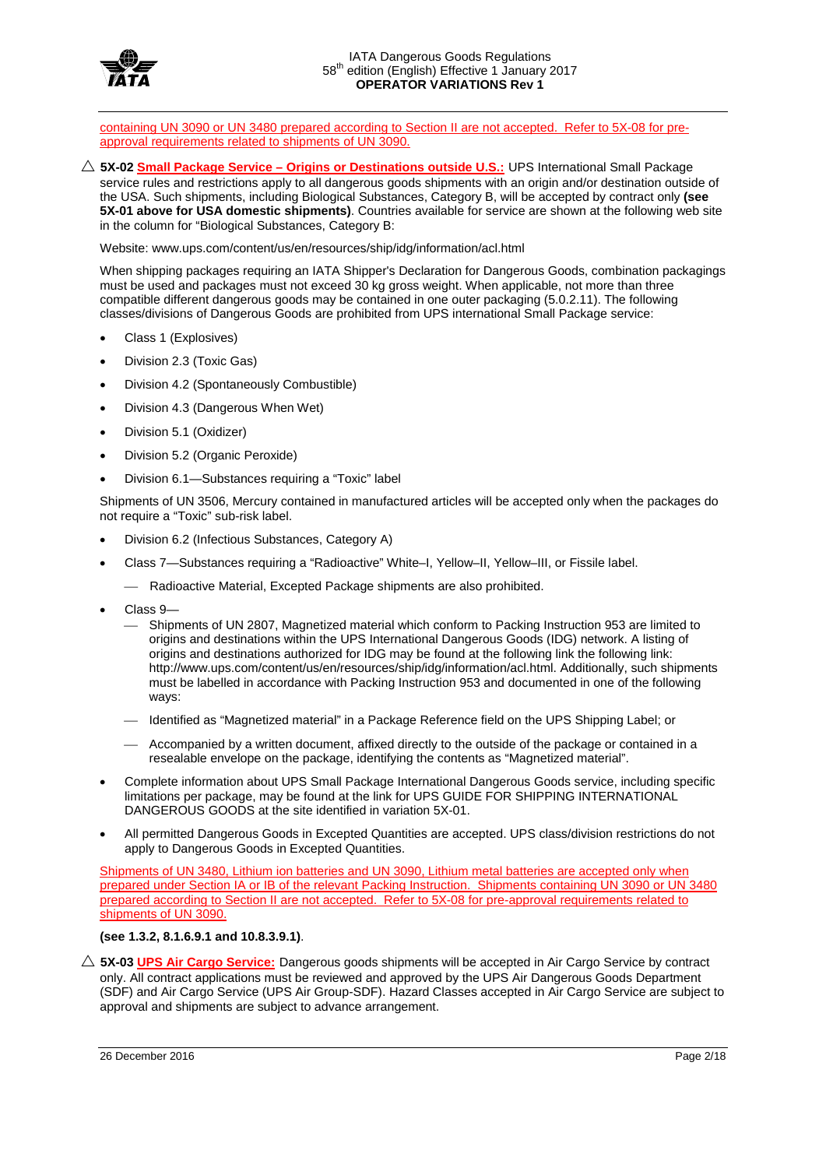

containing UN 3090 or UN 3480 prepared according to Section II are not accepted. Refer to 5X-08 for preapproval requirements related to shipments of UN 3090.

 **5X-02 Small Package Service – Origins or Destinations outside U.S.:** UPS International Small Package service rules and restrictions apply to all dangerous goods shipments with an origin and/or destination outside of the USA. Such shipments, including Biological Substances, Category B, will be accepted by contract only **(see 5X-01 above for USA domestic shipments)**. Countries available for service are shown at the following web site in the column for "Biological Substances, Category B:

Website: www.ups.com/content/us/en/resources/ship/idg/information/acl.html

When shipping packages requiring an IATA Shipper's Declaration for Dangerous Goods, combination packagings must be used and packages must not exceed 30 kg gross weight. When applicable, not more than three compatible different dangerous goods may be contained in one outer packaging (5.0.2.11). The following classes/divisions of Dangerous Goods are prohibited from UPS international Small Package service:

- Class 1 (Explosives)
- Division 2.3 (Toxic Gas)
- Division 4.2 (Spontaneously Combustible)
- Division 4.3 (Dangerous When Wet)
- Division 5.1 (Oxidizer)
- Division 5.2 (Organic Peroxide)
- Division 6.1—Substances requiring a "Toxic" label

Shipments of UN 3506, Mercury contained in manufactured articles will be accepted only when the packages do not require a "Toxic" sub-risk label.

- Division 6.2 (Infectious Substances, Category A)
- Class 7—Substances requiring a "Radioactive" White–I, Yellow–II, Yellow–III, or Fissile label.
	- Radioactive Material, Excepted Package shipments are also prohibited.
- Class 9—
	- Shipments of UN 2807, Magnetized material which conform to Packing Instruction 953 are limited to origins and destinations within the UPS International Dangerous Goods (IDG) network. A listing of origins and destinations authorized for IDG may be found at the following link the following link: http://www.ups.com/content/us/en/resources/ship/idg/information/acl.html. Additionally, such shipments must be labelled in accordance with Packing Instruction 953 and documented in one of the following ways:
	- Identified as "Magnetized material" in a Package Reference field on the UPS Shipping Label; or
	- Accompanied by a written document, affixed directly to the outside of the package or contained in a resealable envelope on the package, identifying the contents as "Magnetized material".
- Complete information about UPS Small Package International Dangerous Goods service, including specific limitations per package, may be found at the link for UPS GUIDE FOR SHIPPING INTERNATIONAL DANGEROUS GOODS at the site identified in variation 5X-01.
- All permitted Dangerous Goods in Excepted Quantities are accepted. UPS class/division restrictions do not apply to Dangerous Goods in Excepted Quantities.

Shipments of UN 3480, Lithium ion batteries and UN 3090, Lithium metal batteries are accepted only when prepared under Section IA or IB of the relevant Packing Instruction. Shipments containing UN 3090 or UN 3480 prepared according to Section II are not accepted. Refer to 5X-08 for pre-approval requirements related to shipments of UN 3090.

#### **(see 1.3.2, 8.1.6.9.1 and 10.8.3.9.1)**.

 **5X-03 UPS Air Cargo Service:** Dangerous goods shipments will be accepted in Air Cargo Service by contract only. All contract applications must be reviewed and approved by the UPS Air Dangerous Goods Department (SDF) and Air Cargo Service (UPS Air Group-SDF). Hazard Classes accepted in Air Cargo Service are subject to approval and shipments are subject to advance arrangement.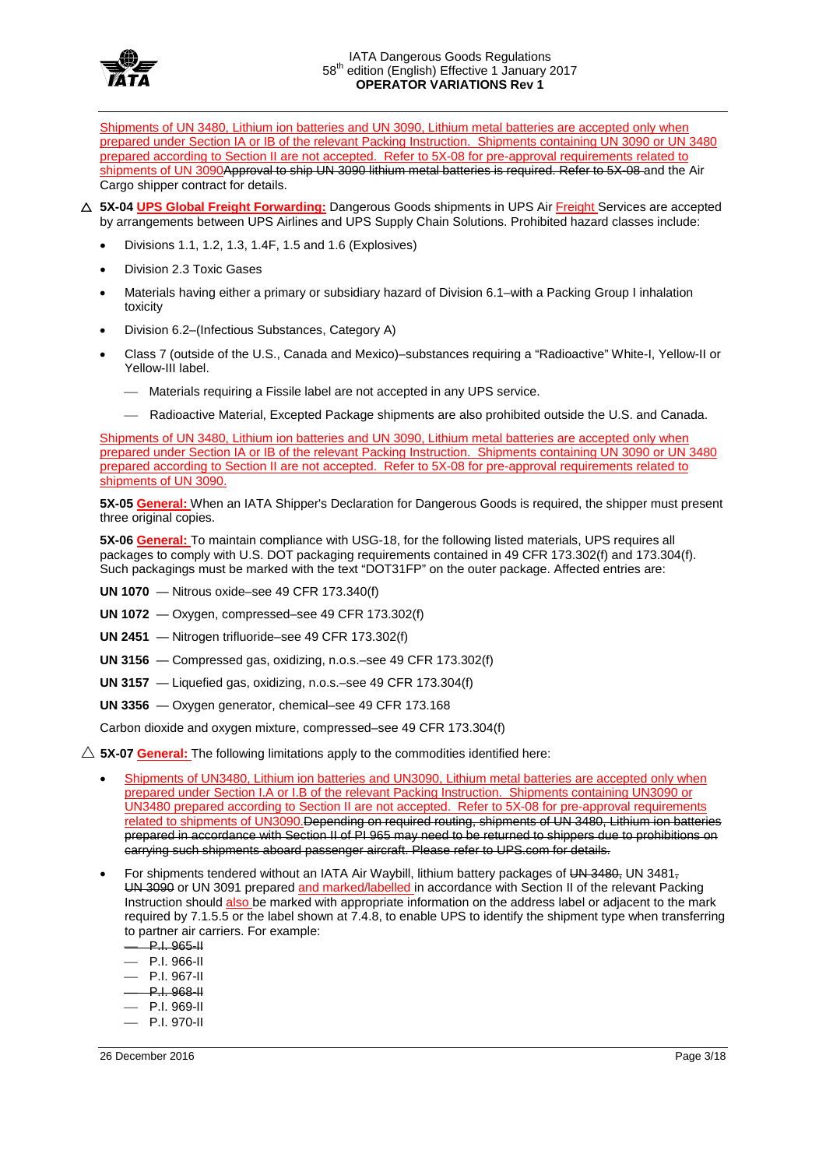

Shipments of UN 3480, Lithium ion batteries and UN 3090, Lithium metal batteries are accepted only when prepared under Section IA or IB of the relevant Packing Instruction. Shipments containing UN 3090 or UN 3480 prepared according to Section II are not accepted. Refer to 5X-08 for pre-approval requirements related to shipments of UN 3090Approval to ship UN 3090 lithium metal batteries is required. Refer to 5X-08 and the Air Cargo shipper contract for details.

- **5X-04 UPS Global Freight Forwarding:** Dangerous Goods shipments in UPS Air Freight Services are accepted by arrangements between UPS Airlines and UPS Supply Chain Solutions. Prohibited hazard classes include:
	- Divisions 1.1, 1.2, 1.3, 1.4F, 1.5 and 1.6 (Explosives)
	- Division 2.3 Toxic Gases
	- Materials having either a primary or subsidiary hazard of Division 6.1–with a Packing Group I inhalation toxicity
	- Division 6.2–(Infectious Substances, Category A)
	- Class 7 (outside of the U.S., Canada and Mexico)–substances requiring a "Radioactive" White-I, Yellow-II or Yellow-III label.
		- Materials requiring a Fissile label are not accepted in any UPS service.
		- Radioactive Material, Excepted Package shipments are also prohibited outside the U.S. and Canada.

Shipments of UN 3480, Lithium ion batteries and UN 3090, Lithium metal batteries are accepted only when prepared under Section IA or IB of the relevant Packing Instruction. Shipments containing UN 3090 or UN 3480 prepared according to Section II are not accepted. Refer to 5X-08 for pre-approval requirements related to shipments of UN 3090.

**5X-05 General:** When an IATA Shipper's Declaration for Dangerous Goods is required, the shipper must present three original copies.

**5X-06 General:** To maintain compliance with USG-18, for the following listed materials, UPS requires all packages to comply with U.S. DOT packaging requirements contained in 49 CFR 173.302(f) and 173.304(f). Such packagings must be marked with the text "DOT31FP" on the outer package. Affected entries are:

- **UN 1070**  Nitrous oxide–see 49 CFR 173.340(f)
- **UN 1072**  Oxygen, compressed–see 49 CFR 173.302(f)
- **UN 2451**  Nitrogen trifluoride–see 49 CFR 173.302(f)
- **UN 3156**  Compressed gas, oxidizing, n.o.s.–see 49 CFR 173.302(f)
- **UN 3157**  Liquefied gas, oxidizing, n.o.s.–see 49 CFR 173.304(f)
- **UN 3356**  Oxygen generator, chemical–see 49 CFR 173.168

Carbon dioxide and oxygen mixture, compressed–see 49 CFR 173.304(f)

- $\triangle$  5X-07 General: The following limitations apply to the commodities identified here:
	- Shipments of UN3480, Lithium ion batteries and UN3090, Lithium metal batteries are accepted only when prepared under Section I.A or I.B of the relevant Packing Instruction. Shipments containing UN3090 or UN3480 prepared according to Section II are not accepted. Refer to 5X-08 for pre-approval requirements related to shipments of UN3090. Depending on required routing, shipments of UN 3480, Lithium ion batteries prepared in accordance with Section II of PI 965 may need to be returned to shippers due to prohibitions on carrying such shipments aboard passenger aircraft. Please refer to UPS.com for details.
	- For shipments tendered without an IATA Air Waybill, lithium battery packages of UN 3480, UN 3481, UN 3090 or UN 3091 prepared and marked/labelled in accordance with Section II of the relevant Packing Instruction should also be marked with appropriate information on the address label or adjacent to the mark required by 7.1.5.5 or the label shown at 7.4.8, to enable UPS to identify the shipment type when transferring to partner air carriers. For example:
		- P.I. 965-II
		- P.I. 966-II
		- P.I. 967-II
		- P.I. 968-II
		- $-$  P.I. 969-II
		- P.I. 970-II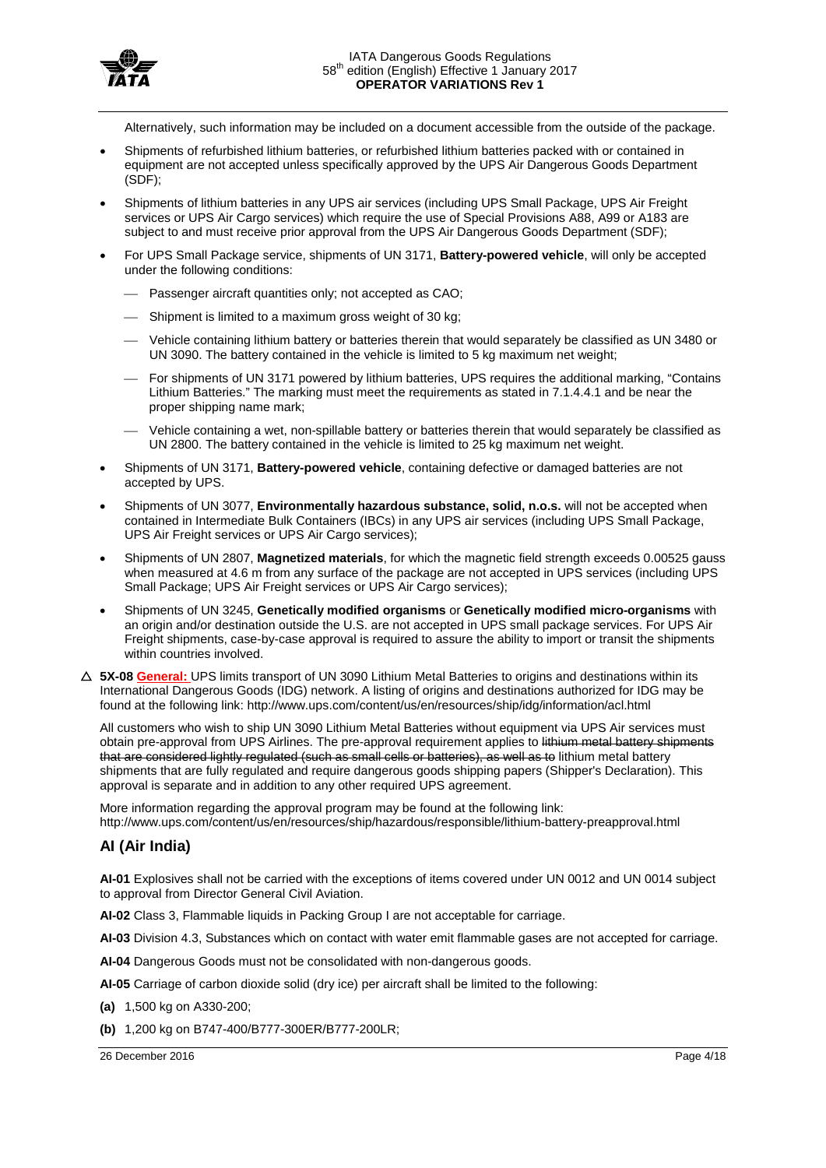

Alternatively, such information may be included on a document accessible from the outside of the package.

- Shipments of refurbished lithium batteries, or refurbished lithium batteries packed with or contained in equipment are not accepted unless specifically approved by the UPS Air Dangerous Goods Department (SDF);
- Shipments of lithium batteries in any UPS air services (including UPS Small Package, UPS Air Freight services or UPS Air Cargo services) which require the use of Special Provisions A88, A99 or A183 are subject to and must receive prior approval from the UPS Air Dangerous Goods Department (SDF);
- For UPS Small Package service, shipments of UN 3171, **Battery-powered vehicle**, will only be accepted under the following conditions:
	- Passenger aircraft quantities only; not accepted as CAO;
	- Shipment is limited to a maximum gross weight of 30 kg;
	- Vehicle containing lithium battery or batteries therein that would separately be classified as UN 3480 or UN 3090. The battery contained in the vehicle is limited to 5 kg maximum net weight;
	- For shipments of UN 3171 powered by lithium batteries, UPS requires the additional marking, "Contains Lithium Batteries." The marking must meet the requirements as stated in 7.1.4.4.1 and be near the proper shipping name mark;
	- Vehicle containing a wet, non-spillable battery or batteries therein that would separately be classified as UN 2800. The battery contained in the vehicle is limited to 25 kg maximum net weight.
- Shipments of UN 3171, **Battery-powered vehicle**, containing defective or damaged batteries are not accepted by UPS.
- Shipments of UN 3077, **Environmentally hazardous substance, solid, n.o.s.** will not be accepted when contained in Intermediate Bulk Containers (IBCs) in any UPS air services (including UPS Small Package, UPS Air Freight services or UPS Air Cargo services);
- Shipments of UN 2807, **Magnetized materials**, for which the magnetic field strength exceeds 0.00525 gauss when measured at 4.6 m from any surface of the package are not accepted in UPS services (including UPS Small Package; UPS Air Freight services or UPS Air Cargo services);
- Shipments of UN 3245, **Genetically modified organisms** or **Genetically modified micro-organisms** with an origin and/or destination outside the U.S. are not accepted in UPS small package services. For UPS Air Freight shipments, case-by-case approval is required to assure the ability to import or transit the shipments within countries involved.
- **5X-08 General:** UPS limits transport of UN 3090 Lithium Metal Batteries to origins and destinations within its International Dangerous Goods (IDG) network. A listing of origins and destinations authorized for IDG may be found at the following link: http://www.ups.com/content/us/en/resources/ship/idg/information/acl.html

All customers who wish to ship UN 3090 Lithium Metal Batteries without equipment via UPS Air services must obtain pre-approval from UPS Airlines. The pre-approval requirement applies to lithium metal battery shipments that are considered lightly regulated (such as small cells or batteries), as well as to lithium metal battery shipments that are fully regulated and require dangerous goods shipping papers (Shipper's Declaration). This approval is separate and in addition to any other required UPS agreement.

More information regarding the approval program may be found at the following link: http://www.ups.com/content/us/en/resources/ship/hazardous/responsible/lithium-battery-preapproval.html

### **AI (Air India)**

**AI-01** Explosives shall not be carried with the exceptions of items covered under UN 0012 and UN 0014 subject to approval from Director General Civil Aviation.

**AI-02** Class 3, Flammable liquids in Packing Group I are not acceptable for carriage.

**AI-03** Division 4.3, Substances which on contact with water emit flammable gases are not accepted for carriage.

**AI-04** Dangerous Goods must not be consolidated with non-dangerous goods.

**AI-05** Carriage of carbon dioxide solid (dry ice) per aircraft shall be limited to the following:

**(a)** 1,500 kg on A330-200;

**(b)** 1,200 kg on B747-400/B777-300ER/B777-200LR;

26 December 2016 Page 4/18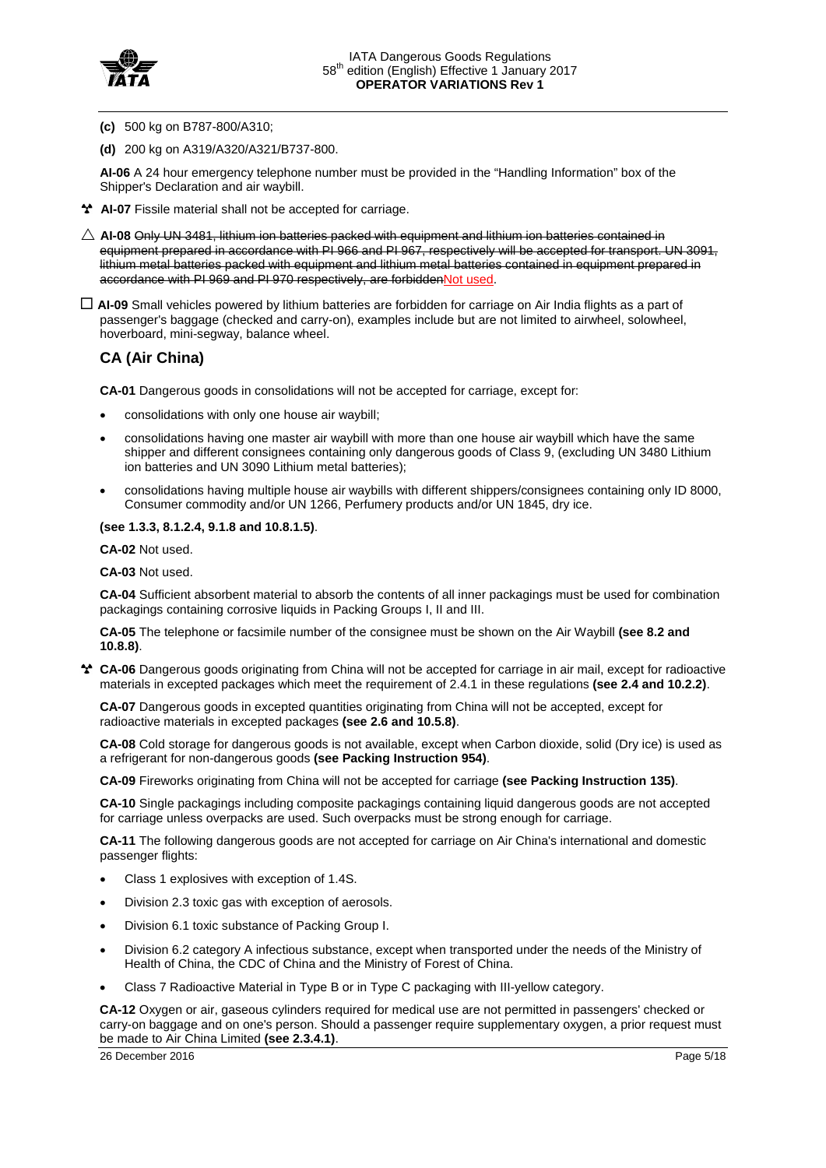

- **(c)** 500 kg on B787-800/A310;
- **(d)** 200 kg on A319/A320/A321/B737-800.

**AI-06** A 24 hour emergency telephone number must be provided in the "Handling Information" box of the Shipper's Declaration and air waybill.

- **AI-07** Fissile material shall not be accepted for carriage.
- $\triangle$  AI-08 Only UN 3481, lithium ion batteries packed with equipment and lithium ion batteries contained in equipment prepared in accordance with PI 966 and PI 967, respectively will be accepted for transport. UN 3091, lithium metal batteries packed with equipment and lithium metal batteries contained in equipment prepared in accordance with PI 969 and PI 970 respectively, are forbiddenNot used.
- **AI-09** Small vehicles powered by lithium batteries are forbidden for carriage on Air India flights as a part of passenger's baggage (checked and carry-on), examples include but are not limited to airwheel, solowheel, hoverboard, mini-segway, balance wheel.

# **CA (Air China)**

**CA-01** Dangerous goods in consolidations will not be accepted for carriage, except for:

- consolidations with only one house air waybill;
- consolidations having one master air waybill with more than one house air waybill which have the same shipper and different consignees containing only dangerous goods of Class 9, (excluding UN 3480 Lithium ion batteries and UN 3090 Lithium metal batteries);
- consolidations having multiple house air waybills with different shippers/consignees containing only ID 8000, Consumer commodity and/or UN 1266, Perfumery products and/or UN 1845, dry ice.

### **(see 1.3.3, 8.1.2.4, 9.1.8 and 10.8.1.5)**.

**CA-02** Not used.

**CA-03** Not used.

**CA-04** Sufficient absorbent material to absorb the contents of all inner packagings must be used for combination packagings containing corrosive liquids in Packing Groups I, II and III.

**CA-05** The telephone or facsimile number of the consignee must be shown on the Air Waybill **(see 8.2 and 10.8.8)**.

**CA-06** Dangerous goods originating from China will not be accepted for carriage in air mail, except for radioactive materials in excepted packages which meet the requirement of 2.4.1 in these regulations **(see 2.4 and 10.2.2)**.

**CA-07** Dangerous goods in excepted quantities originating from China will not be accepted, except for radioactive materials in excepted packages **(see 2.6 and 10.5.8)**.

**CA-08** Cold storage for dangerous goods is not available, except when Carbon dioxide, solid (Dry ice) is used as a refrigerant for non-dangerous goods **(see Packing Instruction 954)**.

**CA-09** Fireworks originating from China will not be accepted for carriage **(see Packing Instruction 135)**.

**CA-10** Single packagings including composite packagings containing liquid dangerous goods are not accepted for carriage unless overpacks are used. Such overpacks must be strong enough for carriage.

**CA-11** The following dangerous goods are not accepted for carriage on Air China's international and domestic passenger flights:

- Class 1 explosives with exception of 1.4S.
- Division 2.3 toxic gas with exception of aerosols.
- Division 6.1 toxic substance of Packing Group I.
- Division 6.2 category A infectious substance, except when transported under the needs of the Ministry of Health of China, the CDC of China and the Ministry of Forest of China.
- Class 7 Radioactive Material in Type B or in Type C packaging with III-yellow category.

**CA-12** Oxygen or air, gaseous cylinders required for medical use are not permitted in passengers' checked or carry-on baggage and on one's person. Should a passenger require supplementary oxygen, a prior request must be made to Air China Limited **(see 2.3.4.1)**.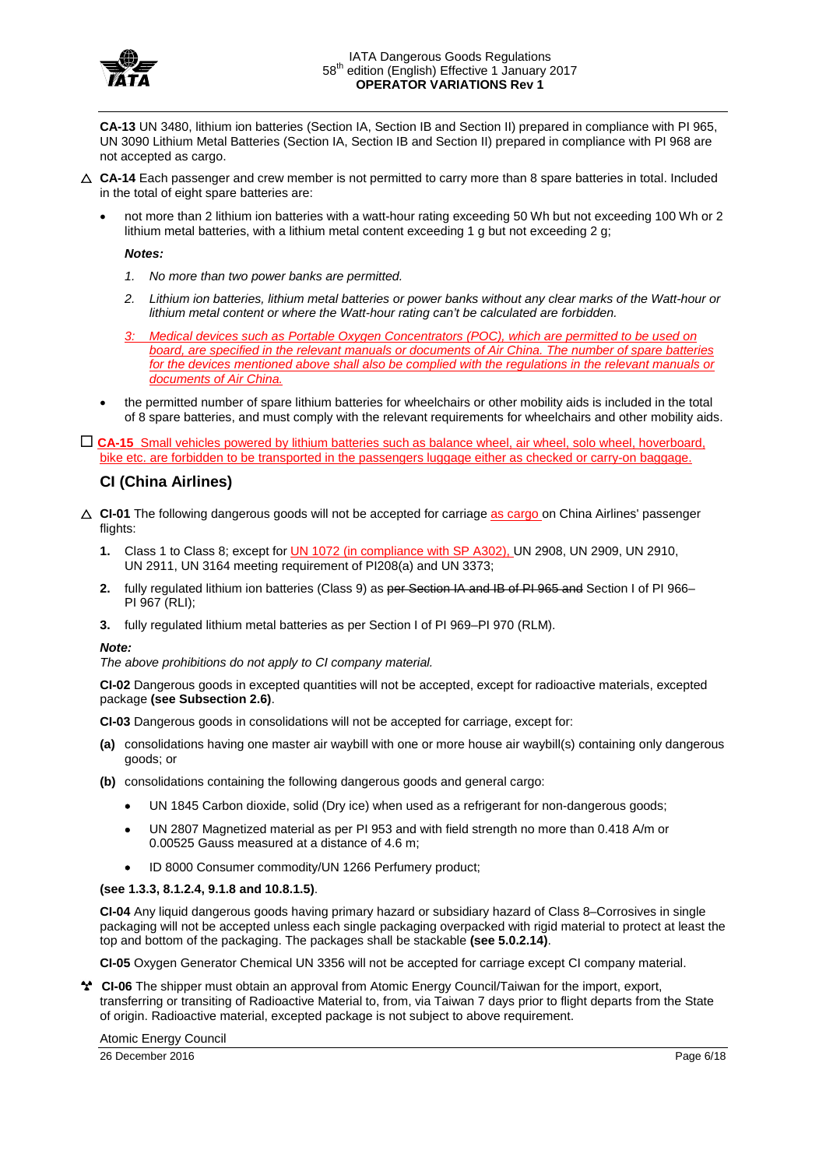

**CA-13** UN 3480, lithium ion batteries (Section IA, Section IB and Section II) prepared in compliance with PI 965, UN 3090 Lithium Metal Batteries (Section IA, Section IB and Section II) prepared in compliance with PI 968 are not accepted as cargo.

- $\triangle$  **CA-14** Each passenger and crew member is not permitted to carry more than 8 spare batteries in total. Included in the total of eight spare batteries are:
	- not more than 2 lithium ion batteries with a watt-hour rating exceeding 50 Wh but not exceeding 100 Wh or 2 lithium metal batteries, with a lithium metal content exceeding 1 g but not exceeding 2 g;

#### *Notes:*

- *1. No more than two power banks are permitted.*
- *2. Lithium ion batteries, lithium metal batteries or power banks without any clear marks of the Watt-hour or lithium metal content or where the Watt-hour rating can't be calculated are forbidden.*
- *3: Medical devices such as Portable Oxygen Concentrators (POC), which are permitted to be used on board, are specified in the relevant manuals or documents of Air China. The number of spare batteries for the devices mentioned above shall also be complied with the regulations in the relevant manuals or documents of Air China.*
- the permitted number of spare lithium batteries for wheelchairs or other mobility aids is included in the total of 8 spare batteries, and must comply with the relevant requirements for wheelchairs and other mobility aids.

 **CA-15** Small vehicles powered by lithium batteries such as balance wheel, air wheel, solo wheel, hoverboard, bike etc. are forbidden to be transported in the passengers luggage either as checked or carry-on baggage.

### **CI (China Airlines)**

- **CI-01** The following dangerous goods will not be accepted for carriage as cargo on China Airlines' passenger flights:
	- **1.** Class 1 to Class 8; except for UN 1072 (in compliance with SP A302), UN 2908, UN 2909, UN 2910, UN 2911, UN 3164 meeting requirement of PI208(a) and UN 3373;
	- **2.** fully regulated lithium ion batteries (Class 9) as per Section IA and IB of PI 965 and Section I of PI 966– PI 967 (RLI);
	- **3.** fully regulated lithium metal batteries as per Section I of PI 969–PI 970 (RLM).

#### *Note:*

*The above prohibitions do not apply to CI company material.*

**CI-02** Dangerous goods in excepted quantities will not be accepted, except for radioactive materials, excepted package **(see Subsection 2.6)**.

**CI-03** Dangerous goods in consolidations will not be accepted for carriage, except for:

- **(a)** consolidations having one master air waybill with one or more house air waybill(s) containing only dangerous goods; or
- **(b)** consolidations containing the following dangerous goods and general cargo:
	- UN 1845 Carbon dioxide, solid (Dry ice) when used as a refrigerant for non-dangerous goods;
	- UN 2807 Magnetized material as per PI 953 and with field strength no more than 0.418 A/m or 0.00525 Gauss measured at a distance of 4.6 m;
	- ID 8000 Consumer commodity/UN 1266 Perfumery product;

### **(see 1.3.3, 8.1.2.4, 9.1.8 and 10.8.1.5)**.

**CI-04** Any liquid dangerous goods having primary hazard or subsidiary hazard of Class 8–Corrosives in single packaging will not be accepted unless each single packaging overpacked with rigid material to protect at least the top and bottom of the packaging. The packages shall be stackable **(see 5.0.2.14)**.

**CI-05** Oxygen Generator Chemical UN 3356 will not be accepted for carriage except CI company material.

**CI-06** The shipper must obtain an approval from Atomic Energy Council/Taiwan for the import, export, transferring or transiting of Radioactive Material to, from, via Taiwan 7 days prior to flight departs from the State of origin. Radioactive material, excepted package is not subject to above requirement.

Atomic Energy Council

26 December 2016 Page 6/18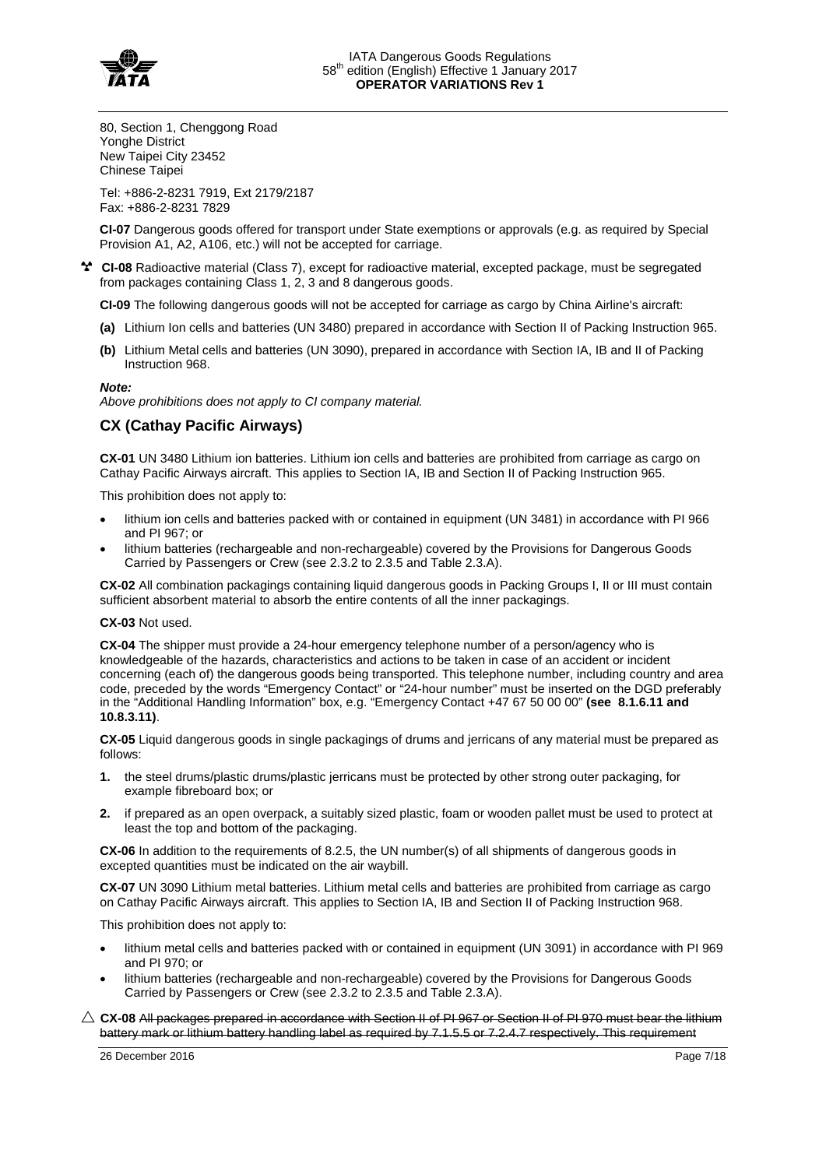

80, Section 1, Chenggong Road Yonghe District New Taipei City 23452 Chinese Taipei

Tel: +886-2-8231 7919, Ext 2179/2187 Fax: +886-2-8231 7829

**CI-07** Dangerous goods offered for transport under State exemptions or approvals (e.g. as required by Special Provision A1, A2, A106, etc.) will not be accepted for carriage.

**CI-08** Radioactive material (Class 7), except for radioactive material, excepted package, must be segregated from packages containing Class 1, 2, 3 and 8 dangerous goods.

**CI-09** The following dangerous goods will not be accepted for carriage as cargo by China Airline's aircraft:

- **(a)** Lithium Ion cells and batteries (UN 3480) prepared in accordance with Section II of Packing Instruction 965.
- **(b)** Lithium Metal cells and batteries (UN 3090), prepared in accordance with Section IA, IB and II of Packing Instruction 968.

#### *Note:*

*Above prohibitions does not apply to CI company material.*

### **CX (Cathay Pacific Airways)**

**CX-01** UN 3480 Lithium ion batteries. Lithium ion cells and batteries are prohibited from carriage as cargo on Cathay Pacific Airways aircraft. This applies to Section IA, IB and Section II of Packing Instruction 965.

This prohibition does not apply to:

- lithium ion cells and batteries packed with or contained in equipment (UN 3481) in accordance with PI 966 and PI 967; or
- lithium batteries (rechargeable and non-rechargeable) covered by the Provisions for Dangerous Goods Carried by Passengers or Crew (see 2.3.2 to 2.3.5 and Table 2.3.A).

**CX-02** All combination packagings containing liquid dangerous goods in Packing Groups I, II or III must contain sufficient absorbent material to absorb the entire contents of all the inner packagings.

#### **CX-03** Not used.

**CX-04** The shipper must provide a 24-hour emergency telephone number of a person/agency who is knowledgeable of the hazards, characteristics and actions to be taken in case of an accident or incident concerning (each of) the dangerous goods being transported. This telephone number, including country and area code, preceded by the words "Emergency Contact" or "24-hour number" must be inserted on the DGD preferably in the "Additional Handling Information" box, e.g. "Emergency Contact +47 67 50 00 00" **(see 8.1.6.11 and 10.8.3.11)**.

**CX-05** Liquid dangerous goods in single packagings of drums and jerricans of any material must be prepared as follows:

- **1.** the steel drums/plastic drums/plastic jerricans must be protected by other strong outer packaging, for example fibreboard box; or
- **2.** if prepared as an open overpack, a suitably sized plastic, foam or wooden pallet must be used to protect at least the top and bottom of the packaging.

**CX-06** In addition to the requirements of 8.2.5, the UN number(s) of all shipments of dangerous goods in excepted quantities must be indicated on the air waybill.

**CX-07** UN 3090 Lithium metal batteries. Lithium metal cells and batteries are prohibited from carriage as cargo on Cathay Pacific Airways aircraft. This applies to Section IA, IB and Section II of Packing Instruction 968.

This prohibition does not apply to:

- lithium metal cells and batteries packed with or contained in equipment (UN 3091) in accordance with PI 969 and PI 970; or
- lithium batteries (rechargeable and non-rechargeable) covered by the Provisions for Dangerous Goods Carried by Passengers or Crew (see 2.3.2 to 2.3.5 and Table 2.3.A).
- $\triangle$  CX-08 All packages prepared in accordance with Section II of PI 967 or Section II of PI 970 must bear the lithium battery mark or lithium battery handling label as required by 7.1.5.5 or 7.2.4.7 respectively. This requirement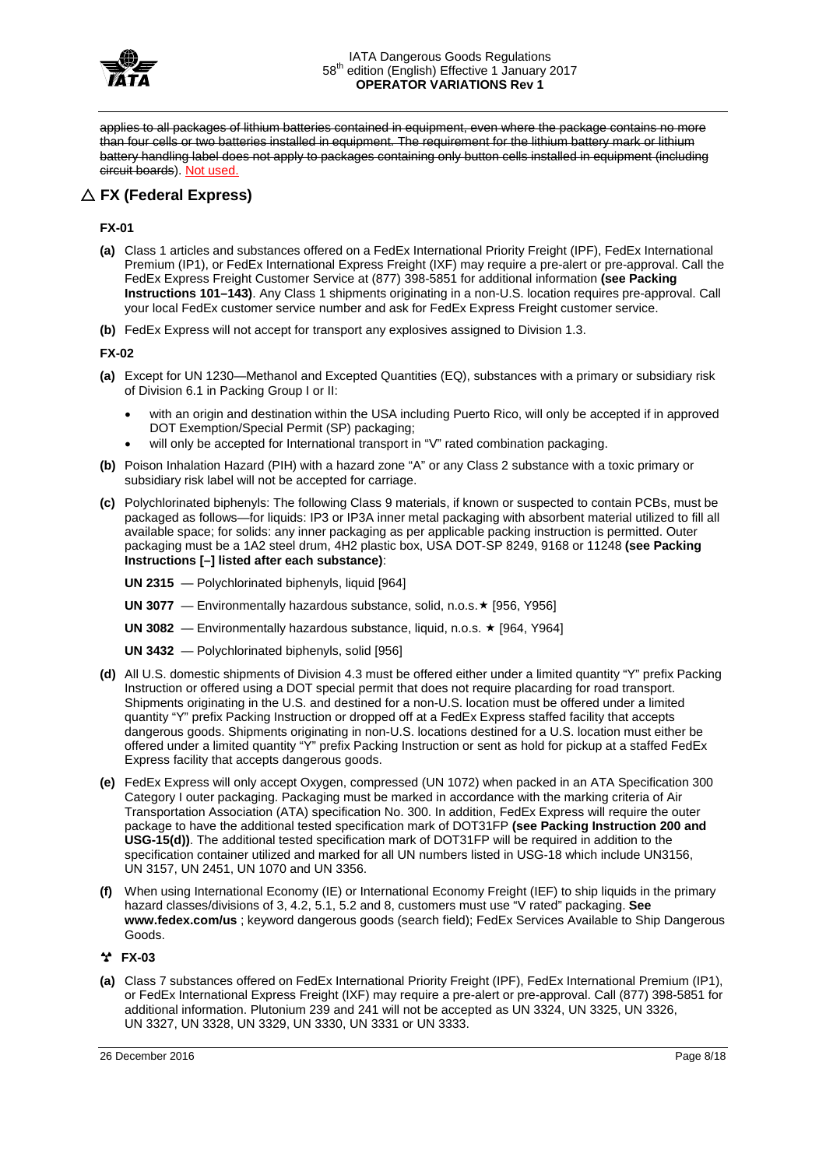

applies to all packages of lithium batteries contained in equipment, even where the package contains no more than four cells or two batteries installed in equipment. The requirement for the lithium battery mark or lithium battery handling label does not apply to packages containing only button cells installed in equipment (including circuit boards). Not used.

# **FX (Federal Express)**

### **FX-01**

- **(a)** Class 1 articles and substances offered on a FedEx International Priority Freight (IPF), FedEx International Premium (IP1), or FedEx International Express Freight (IXF) may require a pre-alert or pre-approval. Call the FedEx Express Freight Customer Service at (877) 398-5851 for additional information **(see Packing Instructions 101–143)**. Any Class 1 shipments originating in a non-U.S. location requires pre-approval. Call your local FedEx customer service number and ask for FedEx Express Freight customer service.
- **(b)** FedEx Express will not accept for transport any explosives assigned to Division 1.3.

### **FX-02**

- **(a)** Except for UN 1230—Methanol and Excepted Quantities (EQ), substances with a primary or subsidiary risk of Division 6.1 in Packing Group I or II:
	- with an origin and destination within the USA including Puerto Rico, will only be accepted if in approved DOT Exemption/Special Permit (SP) packaging;
	- will only be accepted for International transport in "V" rated combination packaging.
- **(b)** Poison Inhalation Hazard (PIH) with a hazard zone "A" or any Class 2 substance with a toxic primary or subsidiary risk label will not be accepted for carriage.
- **(c)** Polychlorinated biphenyls: The following Class 9 materials, if known or suspected to contain PCBs, must be packaged as follows—for liquids: IP3 or IP3A inner metal packaging with absorbent material utilized to fill all available space; for solids: any inner packaging as per applicable packing instruction is permitted. Outer packaging must be a 1A2 steel drum, 4H2 plastic box, USA DOT-SP 8249, 9168 or 11248 **(see Packing Instructions [–] listed after each substance)**:
	- **UN 2315**  Polychlorinated biphenyls, liquid [964]
	- **UN 3077** Environmentally hazardous substance, solid, n.o.s. ★ [956, Y956]
	- **UN** 3082 Environmentally hazardous substance, liquid, n.o.s. ★ [964, Y964]
	- **UN 3432**  Polychlorinated biphenyls, solid [956]
- **(d)** All U.S. domestic shipments of Division 4.3 must be offered either under a limited quantity "Y" prefix Packing Instruction or offered using a DOT special permit that does not require placarding for road transport. Shipments originating in the U.S. and destined for a non-U.S. location must be offered under a limited quantity "Y" prefix Packing Instruction or dropped off at a FedEx Express staffed facility that accepts dangerous goods. Shipments originating in non-U.S. locations destined for a U.S. location must either be offered under a limited quantity "Y" prefix Packing Instruction or sent as hold for pickup at a staffed FedEx Express facility that accepts dangerous goods.
- **(e)** FedEx Express will only accept Oxygen, compressed (UN 1072) when packed in an ATA Specification 300 Category I outer packaging. Packaging must be marked in accordance with the marking criteria of Air Transportation Association (ATA) specification No. 300. In addition, FedEx Express will require the outer package to have the additional tested specification mark of DOT31FP **(see Packing Instruction 200 and USG-15(d))**. The additional tested specification mark of DOT31FP will be required in addition to the specification container utilized and marked for all UN numbers listed in USG-18 which include UN3156, UN 3157, UN 2451, UN 1070 and UN 3356.
- **(f)** When using International Economy (IE) or International Economy Freight (IEF) to ship liquids in the primary hazard classes/divisions of 3, 4.2, 5.1, 5.2 and 8, customers must use "V rated" packaging. **See www.fedex.com/us** ; keyword dangerous goods (search field); FedEx Services Available to Ship Dangerous Goods.

### **FX-03**

**(a)** Class 7 substances offered on FedEx International Priority Freight (IPF), FedEx International Premium (IP1), or FedEx International Express Freight (IXF) may require a pre-alert or pre-approval. Call (877) 398-5851 for additional information. Plutonium 239 and 241 will not be accepted as UN 3324, UN 3325, UN 3326, UN 3327, UN 3328, UN 3329, UN 3330, UN 3331 or UN 3333.

26 December 2016 Page 8/18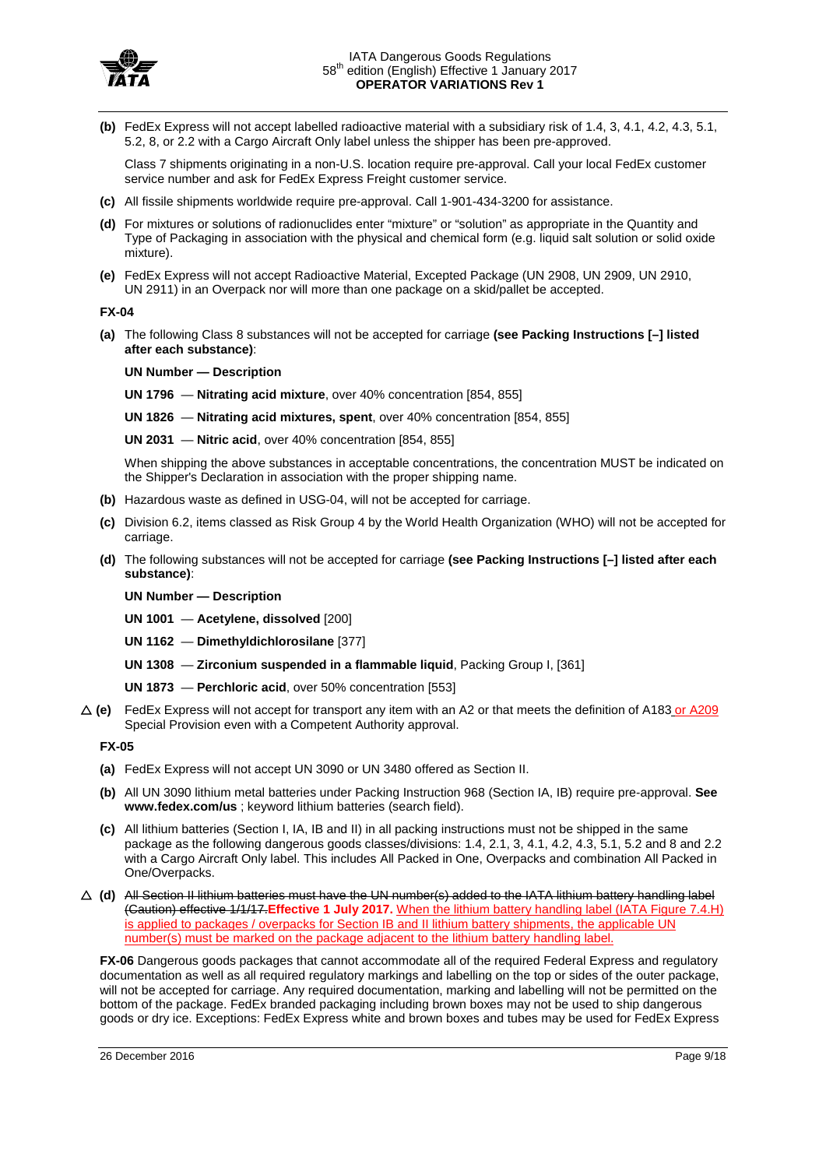

**(b)** FedEx Express will not accept labelled radioactive material with a subsidiary risk of 1.4, 3, 4.1, 4.2, 4.3, 5.1, 5.2, 8, or 2.2 with a Cargo Aircraft Only label unless the shipper has been pre-approved.

Class 7 shipments originating in a non-U.S. location require pre-approval. Call your local FedEx customer service number and ask for FedEx Express Freight customer service.

- **(c)** All fissile shipments worldwide require pre-approval. Call 1-901-434-3200 for assistance.
- **(d)** For mixtures or solutions of radionuclides enter "mixture" or "solution" as appropriate in the Quantity and Type of Packaging in association with the physical and chemical form (e.g. liquid salt solution or solid oxide mixture).
- **(e)** FedEx Express will not accept Radioactive Material, Excepted Package (UN 2908, UN 2909, UN 2910, UN 2911) in an Overpack nor will more than one package on a skid/pallet be accepted.

**FX-04**

**(a)** The following Class 8 substances will not be accepted for carriage **(see Packing Instructions [–] listed after each substance)**:

**UN Number — Description**

**UN 1796** — **Nitrating acid mixture**, over 40% concentration [854, 855]

**UN 1826** — **Nitrating acid mixtures, spent**, over 40% concentration [854, 855]

**UN 2031** — **Nitric acid**, over 40% concentration [854, 855]

When shipping the above substances in acceptable concentrations, the concentration MUST be indicated on the Shipper's Declaration in association with the proper shipping name.

- **(b)** Hazardous waste as defined in USG-04, will not be accepted for carriage.
- **(c)** Division 6.2, items classed as Risk Group 4 by the World Health Organization (WHO) will not be accepted for carriage.
- **(d)** The following substances will not be accepted for carriage **(see Packing Instructions [–] listed after each substance)**:

**UN Number — Description**

**UN 1001** — **Acetylene, dissolved** [200]

**UN 1162** — **Dimethyldichlorosilane** [377]

- **UN 1308 Zirconium suspended in a flammable liquid**, Packing Group I, [361]
- **UN 1873 Perchloric acid**, over 50% concentration [553]
- **(e)** FedEx Express will not accept for transport any item with an A2 or that meets the definition of A183 or A209 Special Provision even with a Competent Authority approval.

**FX-05**

- **(a)** FedEx Express will not accept UN 3090 or UN 3480 offered as Section II.
- **(b)** All UN 3090 lithium metal batteries under Packing Instruction 968 (Section IA, IB) require pre-approval. **See www.fedex.com/us** ; keyword lithium batteries (search field).
- **(c)** All lithium batteries (Section I, IA, IB and II) in all packing instructions must not be shipped in the same package as the following dangerous goods classes/divisions: 1.4, 2.1, 3, 4.1, 4.2, 4.3, 5.1, 5.2 and 8 and 2.2 with a Cargo Aircraft Only label. This includes All Packed in One, Overpacks and combination All Packed in One/Overpacks.
- **(d)** All Section II lithium batteries must have the UN number(s) added to the IATA lithium battery handling label (Caution) effective 1/1/17.**Effective 1 July 2017.** When the lithium battery handling label (IATA Figure 7.4.H) is applied to packages / overpacks for Section IB and II lithium battery shipments, the applicable UN number(s) must be marked on the package adjacent to the lithium battery handling label.

**FX-06** Dangerous goods packages that cannot accommodate all of the required Federal Express and regulatory documentation as well as all required regulatory markings and labelling on the top or sides of the outer package, will not be accepted for carriage. Any required documentation, marking and labelling will not be permitted on the bottom of the package. FedEx branded packaging including brown boxes may not be used to ship dangerous goods or dry ice. Exceptions: FedEx Express white and brown boxes and tubes may be used for FedEx Express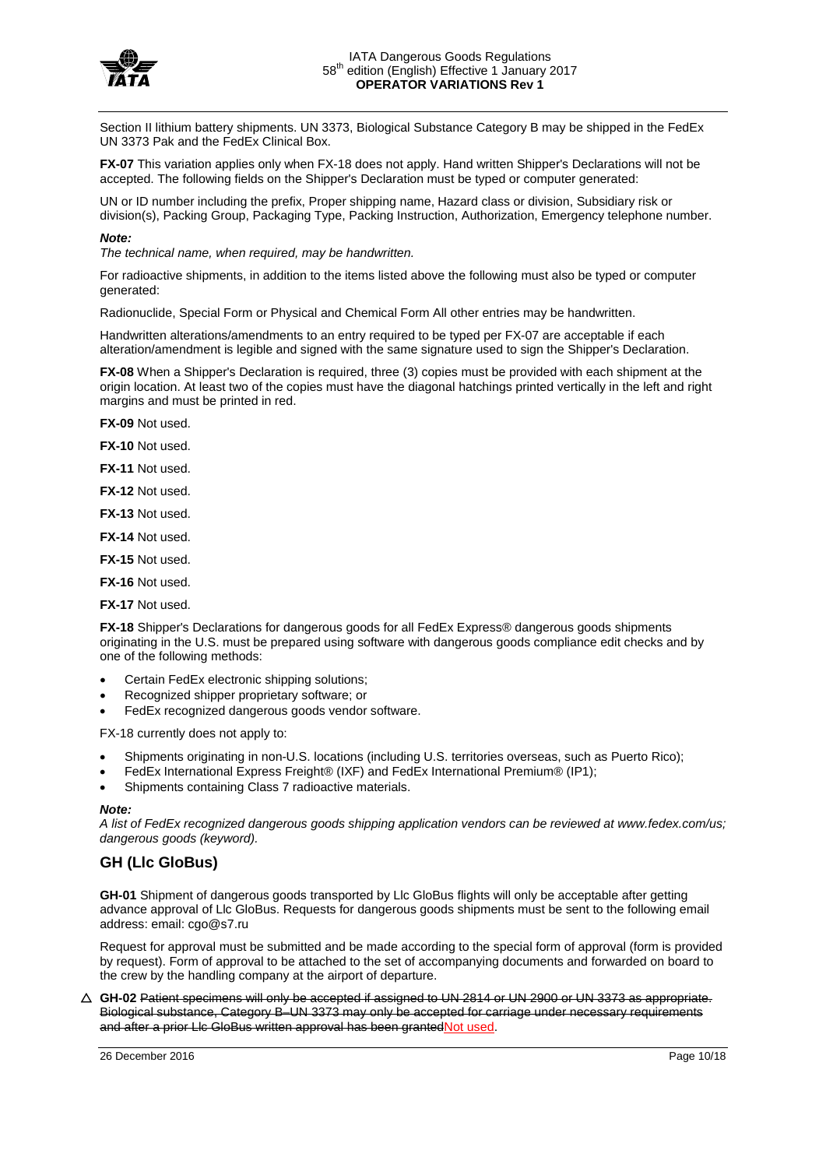

Section II lithium battery shipments. UN 3373, Biological Substance Category B may be shipped in the FedEx UN 3373 Pak and the FedEx Clinical Box.

**FX-07** This variation applies only when FX-18 does not apply. Hand written Shipper's Declarations will not be accepted. The following fields on the Shipper's Declaration must be typed or computer generated:

UN or ID number including the prefix, Proper shipping name, Hazard class or division, Subsidiary risk or division(s), Packing Group, Packaging Type, Packing Instruction, Authorization, Emergency telephone number.

#### *Note:*

*The technical name, when required, may be handwritten.*

For radioactive shipments, in addition to the items listed above the following must also be typed or computer generated:

Radionuclide, Special Form or Physical and Chemical Form All other entries may be handwritten.

Handwritten alterations/amendments to an entry required to be typed per FX-07 are acceptable if each alteration/amendment is legible and signed with the same signature used to sign the Shipper's Declaration.

**FX-08** When a Shipper's Declaration is required, three (3) copies must be provided with each shipment at the origin location. At least two of the copies must have the diagonal hatchings printed vertically in the left and right margins and must be printed in red.

**FX-09** Not used.

**FX-10** Not used.

**FX-11** Not used.

**FX-12** Not used.

**FX-13** Not used.

**FX-14** Not used.

**FX-15** Not used.

**FX-16** Not used.

**FX-17** Not used.

**FX-18** Shipper's Declarations for dangerous goods for all FedEx Express® dangerous goods shipments originating in the U.S. must be prepared using software with dangerous goods compliance edit checks and by one of the following methods:

- Certain FedEx electronic shipping solutions;
- Recognized shipper proprietary software; or
- FedEx recognized dangerous goods vendor software.

FX-18 currently does not apply to:

- Shipments originating in non-U.S. locations (including U.S. territories overseas, such as Puerto Rico);
- FedEx International Express Freight® (IXF) and FedEx International Premium® (IP1);
- Shipments containing Class 7 radioactive materials.

#### *Note:*

*A list of FedEx recognized dangerous goods shipping application vendors can be reviewed at www.fedex.com/us; dangerous goods (keyword).* 

### **GH (Llc GloBus)**

**GH-01** Shipment of dangerous goods transported by Llc GloBus flights will only be acceptable after getting advance approval of Llc GloBus. Requests for dangerous goods shipments must be sent to the following email address: email: cgo@s7.ru

Request for approval must be submitted and be made according to the special form of approval (form is provided by request). Form of approval to be attached to the set of accompanying documents and forwarded on board to the crew by the handling company at the airport of departure.

 **GH-02** Patient specimens will only be accepted if assigned to UN 2814 or UN 2900 or UN 3373 as appropriate. Biological substance, Category B–UN 3373 may only be accepted for carriage under necessary requirements and after a prior Llc GloBus written approval has been grantedNot used.

26 December 2016 Page 10/18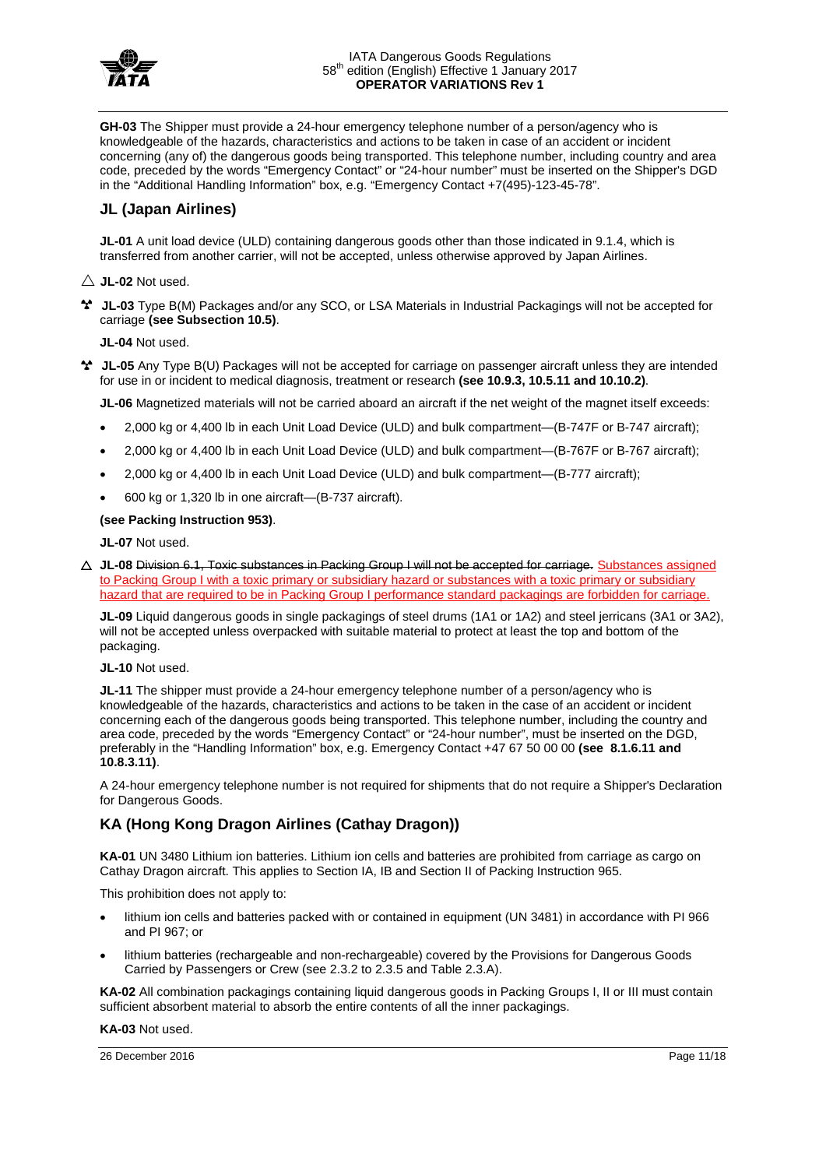

**GH-03** The Shipper must provide a 24-hour emergency telephone number of a person/agency who is knowledgeable of the hazards, characteristics and actions to be taken in case of an accident or incident concerning (any of) the dangerous goods being transported. This telephone number, including country and area code, preceded by the words "Emergency Contact" or "24-hour number" must be inserted on the Shipper's DGD in the "Additional Handling Information" box, e.g. "Emergency Contact +7(495)-123-45-78".

### **JL (Japan Airlines)**

**JL-01** A unit load device (ULD) containing dangerous goods other than those indicated in 9.1.4, which is transferred from another carrier, will not be accepted, unless otherwise approved by Japan Airlines.

- $\wedge$  **JL-02** Not used.
- **JL-03** Type B(M) Packages and/or any SCO, or LSA Materials in Industrial Packagings will not be accepted for carriage **(see Subsection 10.5)**.

**JL-04** Not used.

**JL-05** Any Type B(U) Packages will not be accepted for carriage on passenger aircraft unless they are intended for use in or incident to medical diagnosis, treatment or research **(see 10.9.3, 10.5.11 and 10.10.2)**.

**JL-06** Magnetized materials will not be carried aboard an aircraft if the net weight of the magnet itself exceeds:

- 2,000 kg or 4,400 lb in each Unit Load Device (ULD) and bulk compartment—(B-747F or B-747 aircraft);
- 2,000 kg or 4,400 lb in each Unit Load Device (ULD) and bulk compartment—(B-767F or B-767 aircraft);
- 2,000 kg or 4,400 lb in each Unit Load Device (ULD) and bulk compartment—(B-777 aircraft);
- 600 kg or 1,320 lb in one aircraft—(B-737 aircraft).

### **(see Packing Instruction 953)**.

**JL-07** Not used.

 **JL-08** Division 6.1, Toxic substances in Packing Group I will not be accepted for carriage. Substances assigned to Packing Group I with a toxic primary or subsidiary hazard or substances with a toxic primary or subsidiary hazard that are required to be in Packing Group I performance standard packagings are forbidden for carriage.

**JL-09** Liquid dangerous goods in single packagings of steel drums (1A1 or 1A2) and steel jerricans (3A1 or 3A2), will not be accepted unless overpacked with suitable material to protect at least the top and bottom of the packaging.

#### **JL-10** Not used.

**JL-11** The shipper must provide a 24-hour emergency telephone number of a person/agency who is knowledgeable of the hazards, characteristics and actions to be taken in the case of an accident or incident concerning each of the dangerous goods being transported. This telephone number, including the country and area code, preceded by the words "Emergency Contact" or "24-hour number", must be inserted on the DGD, preferably in the "Handling Information" box, e.g. Emergency Contact +47 67 50 00 00 **(see 8.1.6.11 and 10.8.3.11)**.

A 24-hour emergency telephone number is not required for shipments that do not require a Shipper's Declaration for Dangerous Goods.

### **KA (Hong Kong Dragon Airlines (Cathay Dragon))**

**KA-01** UN 3480 Lithium ion batteries. Lithium ion cells and batteries are prohibited from carriage as cargo on Cathay Dragon aircraft. This applies to Section IA, IB and Section II of Packing Instruction 965.

This prohibition does not apply to:

- lithium ion cells and batteries packed with or contained in equipment (UN 3481) in accordance with PI 966 and PI 967; or
- lithium batteries (rechargeable and non-rechargeable) covered by the Provisions for Dangerous Goods Carried by Passengers or Crew (see 2.3.2 to 2.3.5 and Table 2.3.A).

**KA-02** All combination packagings containing liquid dangerous goods in Packing Groups I, II or III must contain sufficient absorbent material to absorb the entire contents of all the inner packagings.

### **KA-03** Not used.

26 December 2016 Page 11/18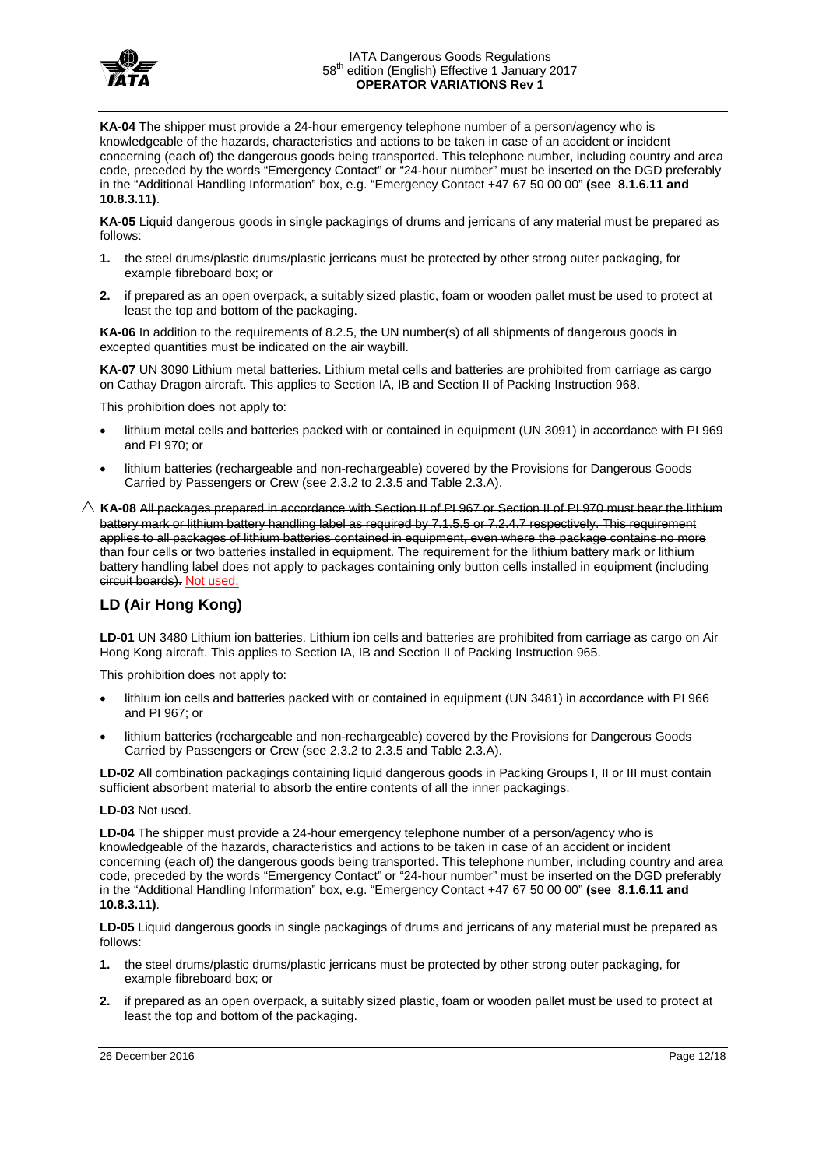

**KA-04** The shipper must provide a 24-hour emergency telephone number of a person/agency who is knowledgeable of the hazards, characteristics and actions to be taken in case of an accident or incident concerning (each of) the dangerous goods being transported. This telephone number, including country and area code, preceded by the words "Emergency Contact" or "24-hour number" must be inserted on the DGD preferably in the "Additional Handling Information" box, e.g. "Emergency Contact +47 67 50 00 00" **(see 8.1.6.11 and 10.8.3.11)**.

**KA-05** Liquid dangerous goods in single packagings of drums and jerricans of any material must be prepared as follows:

- **1.** the steel drums/plastic drums/plastic jerricans must be protected by other strong outer packaging, for example fibreboard box; or
- **2.** if prepared as an open overpack, a suitably sized plastic, foam or wooden pallet must be used to protect at least the top and bottom of the packaging.

**KA-06** In addition to the requirements of 8.2.5, the UN number(s) of all shipments of dangerous goods in excepted quantities must be indicated on the air waybill.

**KA-07** UN 3090 Lithium metal batteries. Lithium metal cells and batteries are prohibited from carriage as cargo on Cathay Dragon aircraft. This applies to Section IA, IB and Section II of Packing Instruction 968.

This prohibition does not apply to:

- lithium metal cells and batteries packed with or contained in equipment (UN 3091) in accordance with PI 969 and PI 970; or
- lithium batteries (rechargeable and non-rechargeable) covered by the Provisions for Dangerous Goods Carried by Passengers or Crew (see 2.3.2 to 2.3.5 and Table 2.3.A).
- $\triangle$  KA-08 All packages prepared in accordance with Section II of PI 967 or Section II of PI 970 must bear the lithium battery mark or lithium battery handling label as required by 7.1.5.5 or 7.2.4.7 respectively. This requirement applies to all packages of lithium batteries contained in equipment, even where the package contains no more than four cells or two batteries installed in equipment. The requirement for the lithium battery mark or lithium battery handling label does not apply to packages containing only button cells installed in equipment (including circuit boards). Not used.

### **LD (Air Hong Kong)**

**LD-01** UN 3480 Lithium ion batteries. Lithium ion cells and batteries are prohibited from carriage as cargo on Air Hong Kong aircraft. This applies to Section IA, IB and Section II of Packing Instruction 965.

This prohibition does not apply to:

- lithium ion cells and batteries packed with or contained in equipment (UN 3481) in accordance with PI 966 and PI 967; or
- lithium batteries (rechargeable and non-rechargeable) covered by the Provisions for Dangerous Goods Carried by Passengers or Crew (see 2.3.2 to 2.3.5 and Table 2.3.A).

**LD-02** All combination packagings containing liquid dangerous goods in Packing Groups I, II or III must contain sufficient absorbent material to absorb the entire contents of all the inner packagings.

#### **LD-03** Not used.

**LD-04** The shipper must provide a 24-hour emergency telephone number of a person/agency who is knowledgeable of the hazards, characteristics and actions to be taken in case of an accident or incident concerning (each of) the dangerous goods being transported. This telephone number, including country and area code, preceded by the words "Emergency Contact" or "24-hour number" must be inserted on the DGD preferably in the "Additional Handling Information" box, e.g. "Emergency Contact +47 67 50 00 00" **(see 8.1.6.11 and 10.8.3.11)**.

**LD-05** Liquid dangerous goods in single packagings of drums and jerricans of any material must be prepared as follows:

- **1.** the steel drums/plastic drums/plastic jerricans must be protected by other strong outer packaging, for example fibreboard box; or
- **2.** if prepared as an open overpack, a suitably sized plastic, foam or wooden pallet must be used to protect at least the top and bottom of the packaging.

26 December 2016 Page 12/18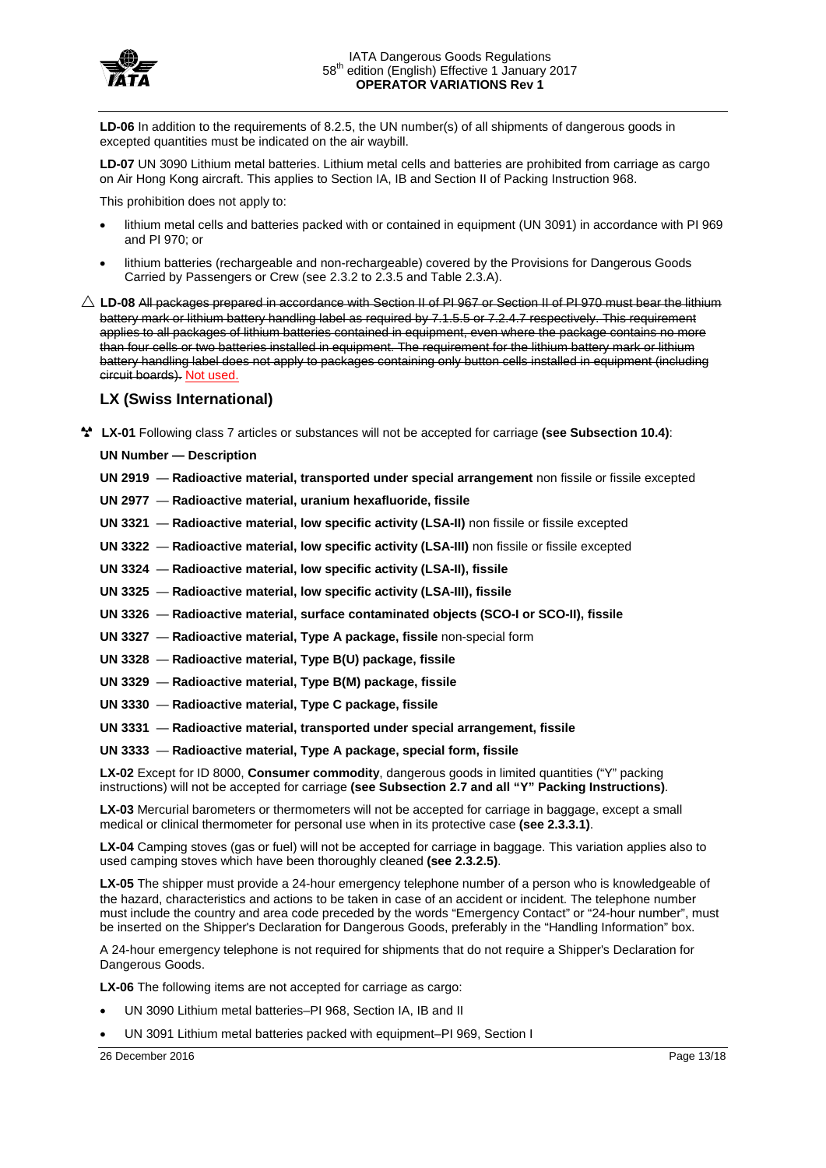

LD-06 In addition to the requirements of 8.2.5, the UN number(s) of all shipments of dangerous goods in excepted quantities must be indicated on the air waybill.

**LD-07** UN 3090 Lithium metal batteries. Lithium metal cells and batteries are prohibited from carriage as cargo on Air Hong Kong aircraft. This applies to Section IA, IB and Section II of Packing Instruction 968.

This prohibition does not apply to:

- lithium metal cells and batteries packed with or contained in equipment (UN 3091) in accordance with PI 969 and PI 970; or
- lithium batteries (rechargeable and non-rechargeable) covered by the Provisions for Dangerous Goods Carried by Passengers or Crew (see 2.3.2 to 2.3.5 and Table 2.3.A).
- $\triangle$  LD-08 All packages prepared in accordance with Section II of PI 967 or Section II of PI 970 must bear the lithium battery mark or lithium battery handling label as required by 7.1.5.5 or 7.2.4.7 respectively. This requirement applies to all packages of lithium batteries contained in equipment, even where the package contains no more than four cells or two batteries installed in equipment. The requirement for the lithium battery mark or lithium battery handling label does not apply to packages containing only button cells installed in equipment (including circuit boards). Not used.

### **LX (Swiss International)**

**LX-01** Following class 7 articles or substances will not be accepted for carriage **(see Subsection 10.4)**:

**UN Number — Description**

**UN 2919** — **Radioactive material, transported under special arrangement** non fissile or fissile excepted

**UN 2977** — **Radioactive material, uranium hexafluoride, fissile**

**UN 3321** — **Radioactive material, low specific activity (LSA-II)** non fissile or fissile excepted

**UN 3322** — **Radioactive material, low specific activity (LSA-III)** non fissile or fissile excepted

**UN 3324** — **Radioactive material, low specific activity (LSA-II), fissile**

- **UN 3325 Radioactive material, low specific activity (LSA-III), fissile**
- **UN 3326 Radioactive material, surface contaminated objects (SCO-I or SCO-II), fissile**
- **UN 3327 Radioactive material, Type A package, fissile** non-special form
- **UN 3328 Radioactive material, Type B(U) package, fissile**
- **UN 3329 Radioactive material, Type B(M) package, fissile**
- **UN 3330 Radioactive material, Type C package, fissile**
- **UN 3331 Radioactive material, transported under special arrangement, fissile**
- **UN 3333 Radioactive material, Type A package, special form, fissile**

**LX-02** Except for ID 8000, **Consumer commodity**, dangerous goods in limited quantities ("Y" packing instructions) will not be accepted for carriage **(see Subsection 2.7 and all "Y" Packing Instructions)**.

**LX-03** Mercurial barometers or thermometers will not be accepted for carriage in baggage, except a small medical or clinical thermometer for personal use when in its protective case **(see 2.3.3.1)**.

**LX-04** Camping stoves (gas or fuel) will not be accepted for carriage in baggage. This variation applies also to used camping stoves which have been thoroughly cleaned **(see 2.3.2.5)**.

LX-05 The shipper must provide a 24-hour emergency telephone number of a person who is knowledgeable of the hazard, characteristics and actions to be taken in case of an accident or incident. The telephone number must include the country and area code preceded by the words "Emergency Contact" or "24-hour number", must be inserted on the Shipper's Declaration for Dangerous Goods, preferably in the "Handling Information" box.

A 24-hour emergency telephone is not required for shipments that do not require a Shipper's Declaration for Dangerous Goods.

**LX-06** The following items are not accepted for carriage as cargo:

- UN 3090 Lithium metal batteries–PI 968, Section IA, IB and II
- UN 3091 Lithium metal batteries packed with equipment–PI 969, Section I

26 December 2016 Page 13/18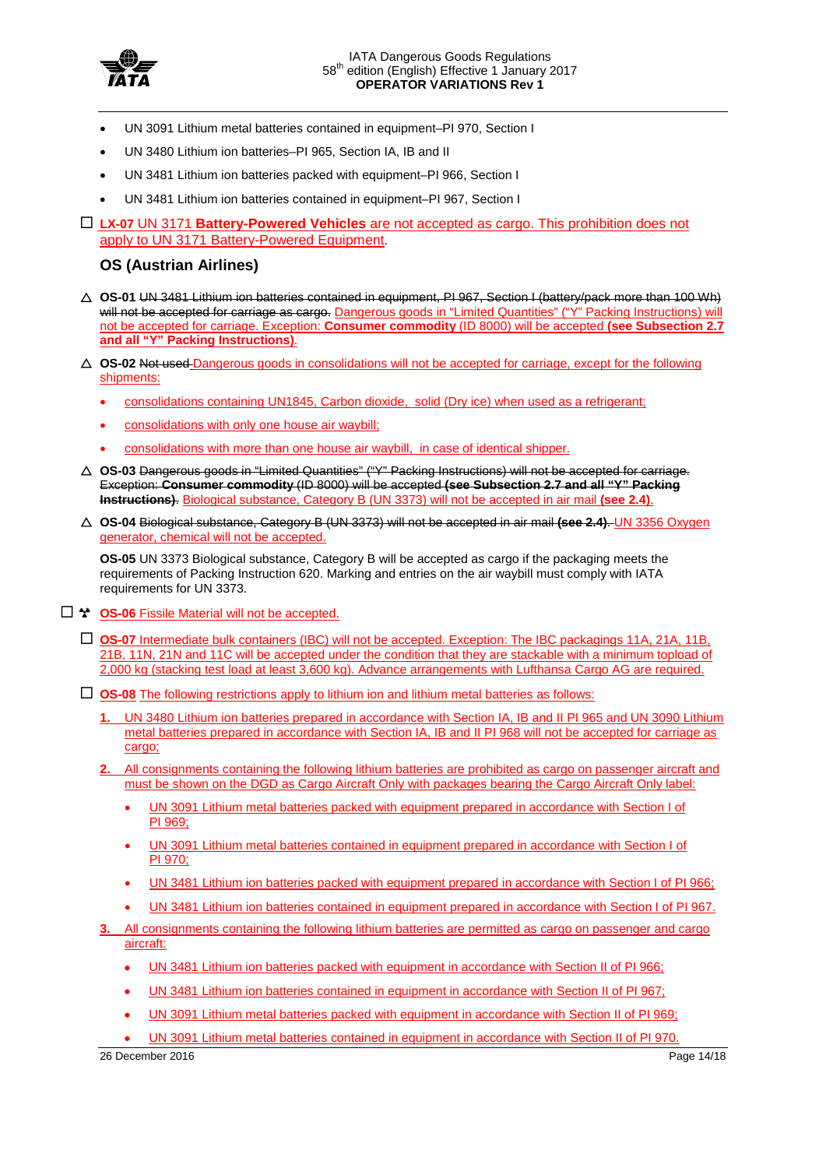

- UN 3091 Lithium metal batteries contained in equipment-PI 970, Section I
- UN 3480 Lithium ion batteries–PI 965, Section IA, IB and II
- UN 3481 Lithium ion batteries packed with equipment–PI 966, Section I
- UN 3481 Lithium ion batteries contained in equipment–PI 967, Section I
- **LX-07** UN 3171 **Battery-Powered Vehicles** are not accepted as cargo. This prohibition does not apply to UN 3171 Battery-Powered Equipment.

## **OS (Austrian Airlines)**

- **OS-01** UN 3481 Lithium ion batteries contained in equipment, PI 967, Section I (battery/pack more than 100 Wh) will not be accepted for carriage as cargo. Dangerous goods in "Limited Quantities" ("Y" Packing Instructions) will not be accepted for carriage. Exception: **Consumer commodity** (ID 8000) will be accepted **(see Subsection 2.7 and all "Y" Packing Instructions)**.
- **OS-02** Not used Dangerous goods in consolidations will not be accepted for carriage, except for the following shipments:
	- consolidations containing UN1845, Carbon dioxide, solid (Dry ice) when used as a refrigerant;
	- consolidations with only one house air waybill;
	- consolidations with more than one house air waybill, in case of identical shipper.
- **OS-03** Dangerous goods in "Limited Quantities" ("Y" Packing Instructions) will not be accepted for carriage. Exception: **Consumer commodity** (ID 8000) will be accepted **(see Subsection 2.7 and all "Y" Packing Instructions)**. Biological substance, Category B (UN 3373) will not be accepted in air mail **(see 2.4)**.
- **OS-04** Biological substance, Category B (UN 3373) will not be accepted in air mail **(see 2.4)**. UN 3356 Oxygen generator, chemical will not be accepted.

**OS-05** UN 3373 Biological substance, Category B will be accepted as cargo if the packaging meets the requirements of Packing Instruction 620. Marking and entries on the air waybill must comply with IATA requirements for UN 3373.

- □ <sup>\*</sup> OS-06 Fissile Material will not be accepted.
	- **OS-07** Intermediate bulk containers (IBC) will not be accepted. Exception: The IBC packagings 11A, 21A, 11B, 21B, 11N, 21N and 11C will be accepted under the condition that they are stackable with a minimum topload of 2,000 kg (stacking test load at least 3,600 kg). Advance arrangements with Lufthansa Cargo AG are required.
	- **OS-08** The following restrictions apply to lithium ion and lithium metal batteries as follows:
		- **1.** UN 3480 Lithium ion batteries prepared in accordance with Section IA, IB and II PI 965 and UN 3090 Lithium metal batteries prepared in accordance with Section IA, IB and II PI 968 will not be accepted for carriage as cargo;
		- **2.** All consignments containing the following lithium batteries are prohibited as cargo on passenger aircraft and must be shown on the DGD as Cargo Aircraft Only with packages bearing the Cargo Aircraft Only label:
			- UN 3091 Lithium metal batteries packed with equipment prepared in accordance with Section I of PI 969;
			- UN 3091 Lithium metal batteries contained in equipment prepared in accordance with Section I of PI 970;
			- UN 3481 Lithium ion batteries packed with equipment prepared in accordance with Section I of PI 966;
			- UN 3481 Lithium ion batteries contained in equipment prepared in accordance with Section I of PI 967.
		- **3.** All consignments containing the following lithium batteries are permitted as cargo on passenger and cargo aircraft:
			- UN 3481 Lithium ion batteries packed with equipment in accordance with Section II of PI 966;
			- UN 3481 Lithium ion batteries contained in equipment in accordance with Section II of PI 967;
			- UN 3091 Lithium metal batteries packed with equipment in accordance with Section II of PI 969;
			- UN 3091 Lithium metal batteries contained in equipment in accordance with Section II of PI 970.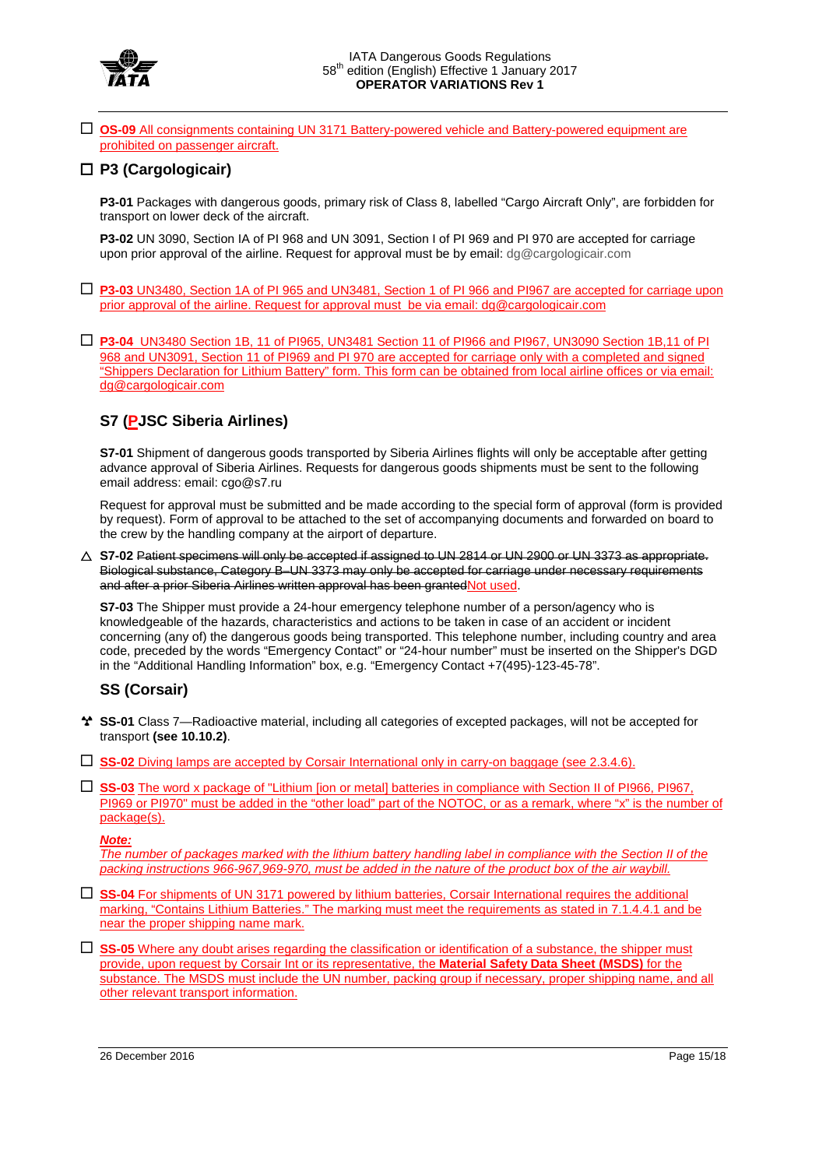

 **OS-09** All consignments containing UN 3171 Battery-powered vehicle and Battery-powered equipment are prohibited on passenger aircraft.

## **P3 (Cargologicair)**

**P3-01** Packages with dangerous goods, primary risk of Class 8, labelled "Cargo Aircraft Only", are forbidden for transport on lower deck of the aircraft.

**P3-02** UN 3090, Section IA of PI 968 and UN 3091, Section I of PI 969 and PI 970 are accepted for carriage upon prior approval of the airline. Request for approval must be by email: dg@cargologicair.com

- **P3-03** UN3480, Section 1A of PI 965 and UN3481, Section 1 of PI 966 and PI967 are accepted for carriage upon prior approval of the airline. Request for approval must be via email: dg@cargologicair.com
- **P3-04** UN3480 Section 1B, 11 of PI965, UN3481 Section 11 of PI966 and PI967, UN3090 Section 1B,11 of PI 968 and UN3091, Section 11 of PI969 and PI 970 are accepted for carriage only with a completed and signed "Shippers Declaration for Lithium Battery" form. This form can be obtained from local airline offices or via email: dg@cargologicair.com

# **S7 (PJSC Siberia Airlines)**

**S7-01** Shipment of dangerous goods transported by Siberia Airlines flights will only be acceptable after getting advance approval of Siberia Airlines. Requests for dangerous goods shipments must be sent to the following email address: email: cgo@s7.ru

Request for approval must be submitted and be made according to the special form of approval (form is provided by request). Form of approval to be attached to the set of accompanying documents and forwarded on board to the crew by the handling company at the airport of departure.

 **S7-02** Patient specimens will only be accepted if assigned to UN 2814 or UN 2900 or UN 3373 as appropriate. Biological substance, Category B–UN 3373 may only be accepted for carriage under necessary requirements and after a prior Siberia Airlines written approval has been grantedNot used.

**S7-03** The Shipper must provide a 24-hour emergency telephone number of a person/agency who is knowledgeable of the hazards, characteristics and actions to be taken in case of an accident or incident concerning (any of) the dangerous goods being transported. This telephone number, including country and area code, preceded by the words "Emergency Contact" or "24-hour number" must be inserted on the Shipper's DGD in the "Additional Handling Information" box, e.g. "Emergency Contact +7(495)-123-45-78".

# **SS (Corsair)**

- **SS-01** Class 7—Radioactive material, including all categories of excepted packages, will not be accepted for transport **(see 10.10.2)**.
- **SS-02** Diving lamps are accepted by Corsair International only in carry-on baggage (see 2.3.4.6).
- **SS-03** The word x package of "Lithium [ion or metal] batteries in compliance with Section II of PI966, PI967, PI969 or PI970" must be added in the "other load" part of the NOTOC, or as a remark, where "x" is the number of package(s).

#### *Note:*

*The number of packages marked with the lithium battery handling label in compliance with the Section II of the packing instructions 966-967,969-970, must be added in the nature of the product box of the air waybill.*

- **SS-04** For shipments of UN 3171 powered by lithium batteries, Corsair International requires the additional marking, "Contains Lithium Batteries." The marking must meet the requirements as stated in 7.1.4.4.1 and be near the proper shipping name mark.
- **SS-05** Where any doubt arises regarding the classification or identification of a substance, the shipper must provide, upon request by Corsair Int or its representative, the **Material Safety Data Sheet (MSDS)** for the substance. The MSDS must include the UN number, packing group if necessary, proper shipping name, and all other relevant transport information.

26 December 2016 Page 15/18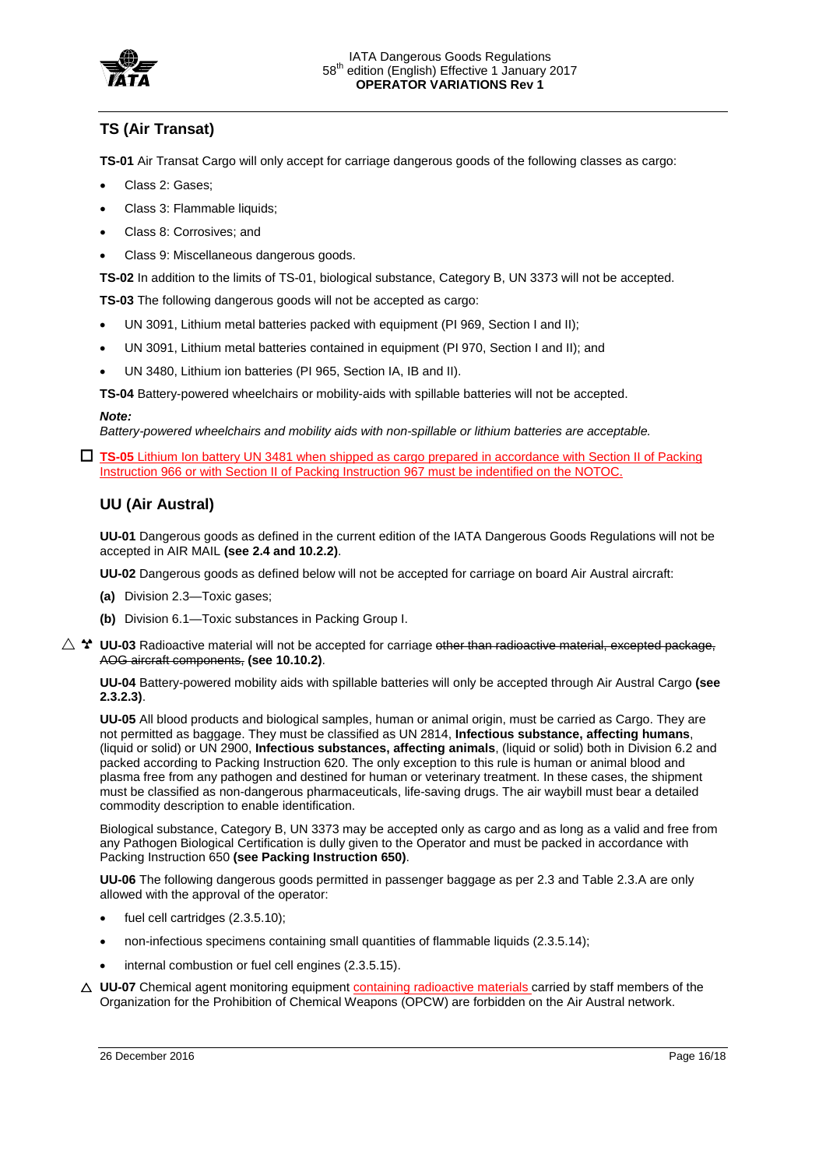

# **TS (Air Transat)**

**TS-01** Air Transat Cargo will only accept for carriage dangerous goods of the following classes as cargo:

- Class 2: Gases;
- Class 3: Flammable liquids;
- Class 8: Corrosives; and
- Class 9: Miscellaneous dangerous goods.

**TS-02** In addition to the limits of TS-01, biological substance, Category B, UN 3373 will not be accepted.

**TS-03** The following dangerous goods will not be accepted as cargo:

- UN 3091, Lithium metal batteries packed with equipment (PI 969, Section I and II);
- UN 3091, Lithium metal batteries contained in equipment (PI 970, Section I and II); and
- UN 3480, Lithium ion batteries (PI 965, Section IA, IB and II).

**TS-04** Battery-powered wheelchairs or mobility-aids with spillable batteries will not be accepted.

#### *Note:*

*Battery-powered wheelchairs and mobility aids with non-spillable or lithium batteries are acceptable.*

 **TS-05** Lithium Ion battery UN 3481 when shipped as cargo prepared in accordance with Section II of Packing Instruction 966 or with Section II of Packing Instruction 967 must be indentified on the NOTOC.

### **UU (Air Austral)**

**UU-01** Dangerous goods as defined in the current edition of the IATA Dangerous Goods Regulations will not be accepted in AIR MAIL **(see 2.4 and 10.2.2)**.

**UU-02** Dangerous goods as defined below will not be accepted for carriage on board Air Austral aircraft:

- **(a)** Division 2.3—Toxic gases;
- **(b)** Division 6.1—Toxic substances in Packing Group I.
- $\triangle$   $^{\star}$  UU-03 Radioactive material will not be accepted for carriage other than radioactive material, excepted package, AOG aircraft components, **(see 10.10.2)**.

**UU-04** Battery-powered mobility aids with spillable batteries will only be accepted through Air Austral Cargo **(see 2.3.2.3)**.

**UU-05** All blood products and biological samples, human or animal origin, must be carried as Cargo. They are not permitted as baggage. They must be classified as UN 2814, **Infectious substance, affecting humans**, (liquid or solid) or UN 2900, **Infectious substances, affecting animals**, (liquid or solid) both in Division 6.2 and packed according to Packing Instruction 620. The only exception to this rule is human or animal blood and plasma free from any pathogen and destined for human or veterinary treatment. In these cases, the shipment must be classified as non-dangerous pharmaceuticals, life-saving drugs. The air waybill must bear a detailed commodity description to enable identification.

Biological substance, Category B, UN 3373 may be accepted only as cargo and as long as a valid and free from any Pathogen Biological Certification is dully given to the Operator and must be packed in accordance with Packing Instruction 650 **(see Packing Instruction 650)**.

**UU-06** The following dangerous goods permitted in passenger baggage as per 2.3 and Table 2.3.A are only allowed with the approval of the operator:

- fuel cell cartridges (2.3.5.10);
- non-infectious specimens containing small quantities of flammable liquids (2.3.5.14);
- internal combustion or fuel cell engines (2.3.5.15).
- △ UU-07 Chemical agent monitoring equipment **containing radioactive materials** carried by staff members of the Organization for the Prohibition of Chemical Weapons (OPCW) are forbidden on the Air Austral network.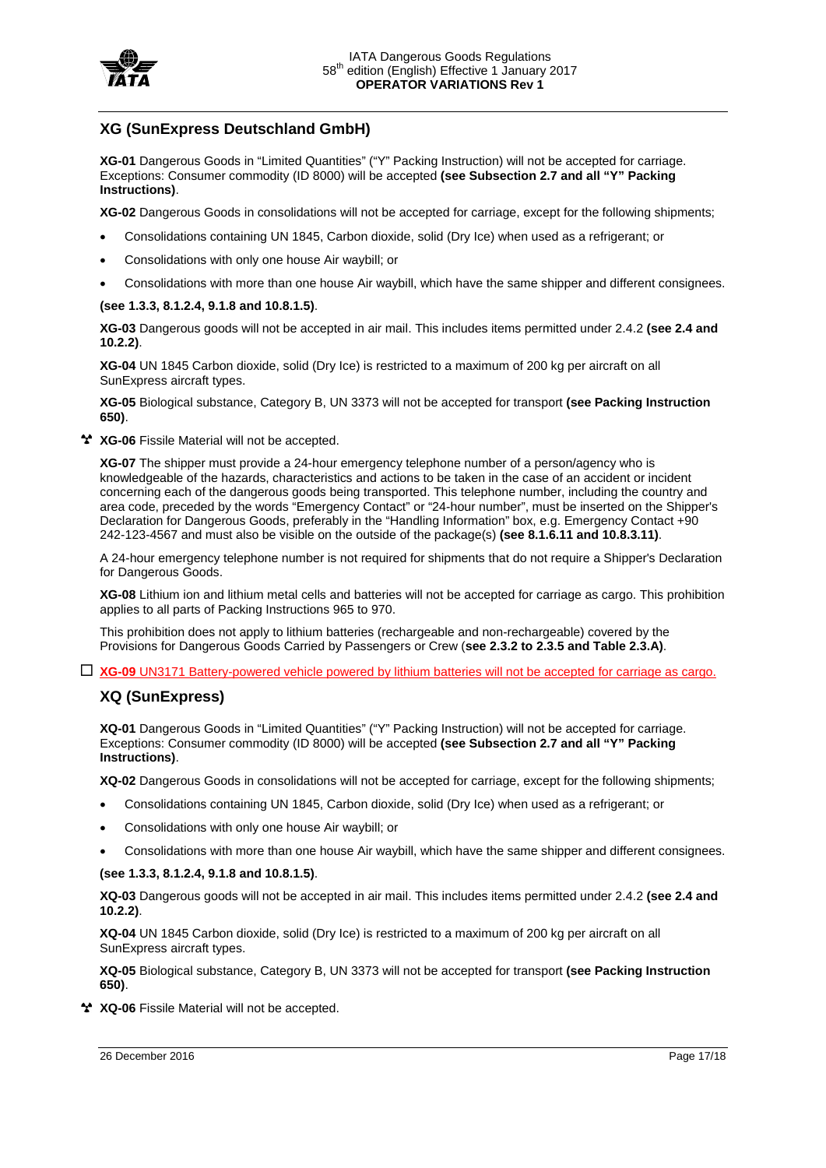

## **XG (SunExpress Deutschland GmbH)**

**XG-01** Dangerous Goods in "Limited Quantities" ("Y" Packing Instruction) will not be accepted for carriage. Exceptions: Consumer commodity (ID 8000) will be accepted **(see Subsection 2.7 and all "Y" Packing Instructions)**.

**XG-02** Dangerous Goods in consolidations will not be accepted for carriage, except for the following shipments;

- Consolidations containing UN 1845, Carbon dioxide, solid (Dry Ice) when used as a refrigerant; or
- Consolidations with only one house Air waybill; or
- Consolidations with more than one house Air waybill, which have the same shipper and different consignees.

### **(see 1.3.3, 8.1.2.4, 9.1.8 and 10.8.1.5)**.

**XG-03** Dangerous goods will not be accepted in air mail. This includes items permitted under 2.4.2 **(see 2.4 and 10.2.2)**.

**XG-04** UN 1845 Carbon dioxide, solid (Dry Ice) is restricted to a maximum of 200 kg per aircraft on all SunExpress aircraft types.

**XG-05** Biological substance, Category B, UN 3373 will not be accepted for transport **(see Packing Instruction 650)**.

**XG-06** Fissile Material will not be accepted.

**XG-07** The shipper must provide a 24-hour emergency telephone number of a person/agency who is knowledgeable of the hazards, characteristics and actions to be taken in the case of an accident or incident concerning each of the dangerous goods being transported. This telephone number, including the country and area code, preceded by the words "Emergency Contact" or "24-hour number", must be inserted on the Shipper's Declaration for Dangerous Goods, preferably in the "Handling Information" box, e.g. Emergency Contact +90 242-123-4567 and must also be visible on the outside of the package(s) **(see 8.1.6.11 and 10.8.3.11)**.

A 24-hour emergency telephone number is not required for shipments that do not require a Shipper's Declaration for Dangerous Goods.

**XG-08** Lithium ion and lithium metal cells and batteries will not be accepted for carriage as cargo. This prohibition applies to all parts of Packing Instructions 965 to 970.

This prohibition does not apply to lithium batteries (rechargeable and non-rechargeable) covered by the Provisions for Dangerous Goods Carried by Passengers or Crew (**see 2.3.2 to 2.3.5 and Table 2.3.A)**.

**XG-09** UN3171 Battery-powered vehicle powered by lithium batteries will not be accepted for carriage as cargo.

# **XQ (SunExpress)**

**XQ-01** Dangerous Goods in "Limited Quantities" ("Y" Packing Instruction) will not be accepted for carriage. Exceptions: Consumer commodity (ID 8000) will be accepted **(see Subsection 2.7 and all "Y" Packing Instructions)**.

**XQ-02** Dangerous Goods in consolidations will not be accepted for carriage, except for the following shipments;

- Consolidations containing UN 1845, Carbon dioxide, solid (Dry Ice) when used as a refrigerant; or
- Consolidations with only one house Air waybill; or
- Consolidations with more than one house Air waybill, which have the same shipper and different consignees.

### **(see 1.3.3, 8.1.2.4, 9.1.8 and 10.8.1.5)**.

**XQ-03** Dangerous goods will not be accepted in air mail. This includes items permitted under 2.4.2 **(see 2.4 and 10.2.2)**.

**XQ-04** UN 1845 Carbon dioxide, solid (Dry Ice) is restricted to a maximum of 200 kg per aircraft on all SunExpress aircraft types.

**XQ-05** Biological substance, Category B, UN 3373 will not be accepted for transport **(see Packing Instruction 650)**.

**XQ-06** Fissile Material will not be accepted.